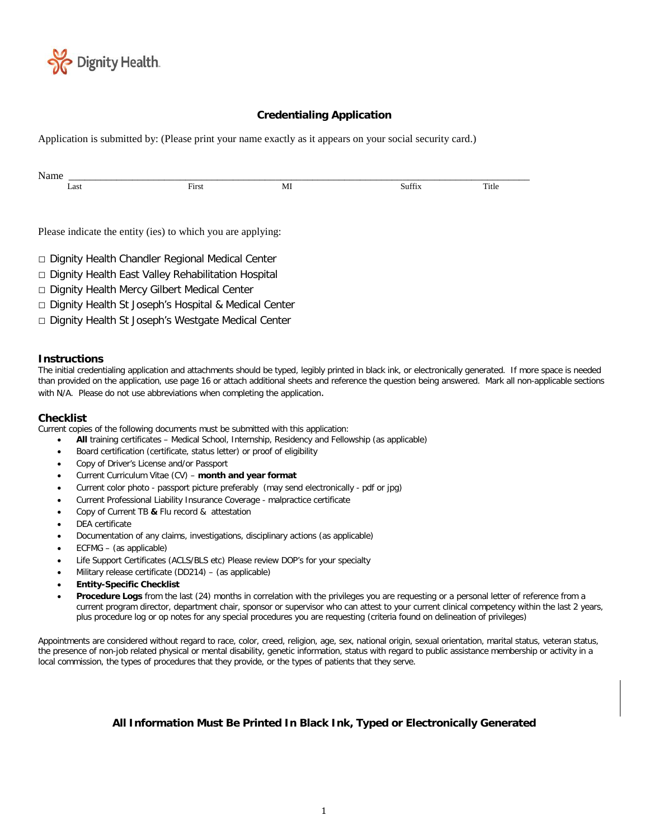

### **Credentialing Application**

Application is submitted by: (Please print your name exactly as it appears on your social security card.)

| Name |                                                             |    |        |       |
|------|-------------------------------------------------------------|----|--------|-------|
| Last | First                                                       | MI | Suffix | Title |
|      |                                                             |    |        |       |
|      |                                                             |    |        |       |
|      | Please indicate the entity (ies) to which you are applying: |    |        |       |
|      |                                                             |    |        |       |
|      | □ Dignity Health Chandler Regional Medical Center           |    |        |       |
|      | □ Dignity Health East Valley Rehabilitation Hospital        |    |        |       |
|      | □ Dignity Health Mercy Gilbert Medical Center               |    |        |       |
|      |                                                             |    |        |       |

- □ Dignity Health St Joseph's Hospital & Medical Center
- □ Dignity Health St Joseph's Westgate Medical Center

### **Instructions**

The initial credentialing application and attachments should be typed, legibly printed in black ink, or electronically generated. If more space is needed than provided on the application, use page 16 or attach additional sheets and reference the question being answered. Mark all non-applicable sections with N/A. Please do not use abbreviations when completing the application.

#### **Checklist**

Current copies of the following documents must be submitted with this application:

- **All** training certificates Medical School, Internship, Residency and Fellowship (as applicable)
- Board certification (certificate, status letter) or proof of eligibility
- Copy of Driver's License and/or Passport
- Current Curriculum Vitae (CV) **month and year format**
- Current color photo passport picture preferably (may send electronically pdf or jpg)
- Current Professional Liability Insurance Coverage malpractice certificate
- Copy of Current TB **&** Flu record & attestation
- DEA certificate
- Documentation of any claims, investigations, disciplinary actions (as applicable)
- ECFMG (as applicable)
- Life Support Certificates (ACLS/BLS etc) Please review DOP's for your specialty
- Military release certificate (DD214) (as applicable)
- **Entity-Specific Checklist**
- **Procedure Logs** from the last (24) months in correlation with the privileges you are requesting or a personal letter of reference from a current program director, department chair, sponsor or supervisor who can attest to your current clinical competency within the last 2 years, plus procedure log or op notes for any special procedures you are requesting (criteria found on delineation of privileges)

Appointments are considered without regard to race, color, creed, religion, age, sex, national origin, sexual orientation, marital status, veteran status, the presence of non-job related physical or mental disability, genetic information, status with regard to public assistance membership or activity in a local commission, the types of procedures that they provide, or the types of patients that they serve.

### **All Information Must Be Printed In Black Ink, Typed or Electronically Generated**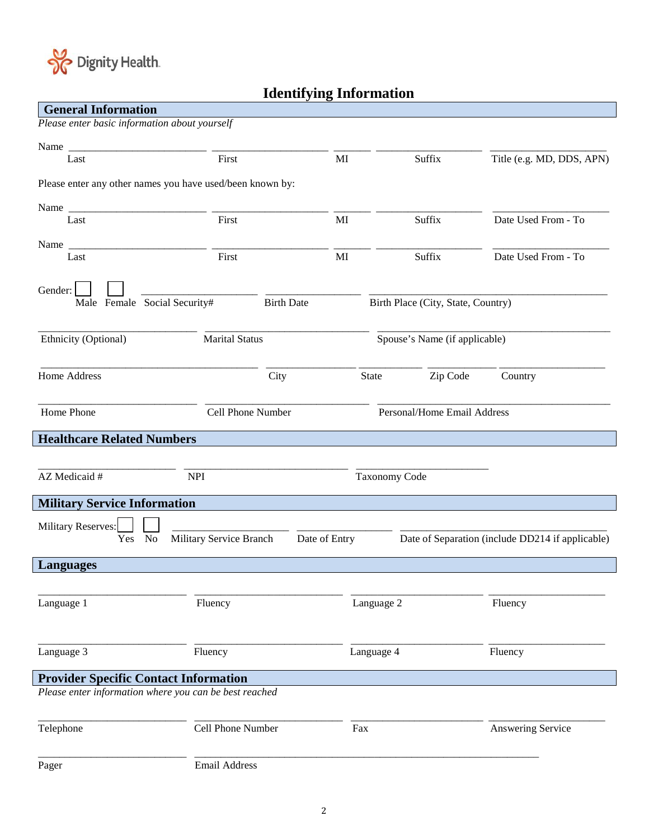

# **Identifying Information**

| <b>General Information</b>                                |                         |                   |                      |                                    |                                                  |
|-----------------------------------------------------------|-------------------------|-------------------|----------------------|------------------------------------|--------------------------------------------------|
| Please enter basic information about yourself             |                         |                   |                      |                                    |                                                  |
| Name                                                      |                         |                   |                      |                                    |                                                  |
| Last                                                      | First                   |                   | MI                   | Suffix                             | Title (e.g. MD, DDS, APN)                        |
| Please enter any other names you have used/been known by: |                         |                   |                      |                                    |                                                  |
|                                                           |                         |                   |                      |                                    |                                                  |
| Last                                                      | First                   |                   | MI                   | Suffix                             | Date Used From - To                              |
|                                                           |                         |                   |                      |                                    |                                                  |
| Last                                                      | First                   |                   | MI                   | Suffix                             | Date Used From - To                              |
| Gender:                                                   |                         |                   |                      |                                    |                                                  |
| Male Female Social Security#                              |                         | <b>Birth Date</b> |                      | Birth Place (City, State, Country) |                                                  |
| Ethnicity (Optional)                                      | <b>Marital Status</b>   |                   |                      | Spouse's Name (if applicable)      |                                                  |
| <b>Home Address</b>                                       |                         | City              | State                | Zip Code                           | Country                                          |
| Home Phone                                                |                         | Cell Phone Number |                      | Personal/Home Email Address        |                                                  |
| <b>Healthcare Related Numbers</b>                         |                         |                   |                      |                                    |                                                  |
|                                                           |                         |                   |                      |                                    |                                                  |
| AZ Medicaid #                                             | <b>NPI</b>              |                   | <b>Taxonomy Code</b> |                                    |                                                  |
|                                                           |                         |                   |                      |                                    |                                                  |
| <b>Military Service Information</b>                       |                         |                   |                      |                                    |                                                  |
| Military Reserves:<br><b>No</b><br>Yes                    | Military Service Branch |                   | Date of Entry        |                                    | Date of Separation (include DD214 if applicable) |
| <b>Languages</b>                                          |                         |                   |                      |                                    |                                                  |
|                                                           |                         |                   |                      |                                    |                                                  |
| Language 1                                                | Fluency                 |                   | Language 2           |                                    | Fluency                                          |
| Language 3                                                | Fluency                 |                   | Language 4           |                                    | Fluency                                          |
| <b>Provider Specific Contact Information</b>              |                         |                   |                      |                                    |                                                  |
| Please enter information where you can be best reached    |                         |                   |                      |                                    |                                                  |
| Telephone                                                 | Cell Phone Number       |                   | Fax                  |                                    | Answering Service                                |
|                                                           |                         |                   |                      |                                    |                                                  |
| Pager                                                     | <b>Email Address</b>    |                   |                      |                                    |                                                  |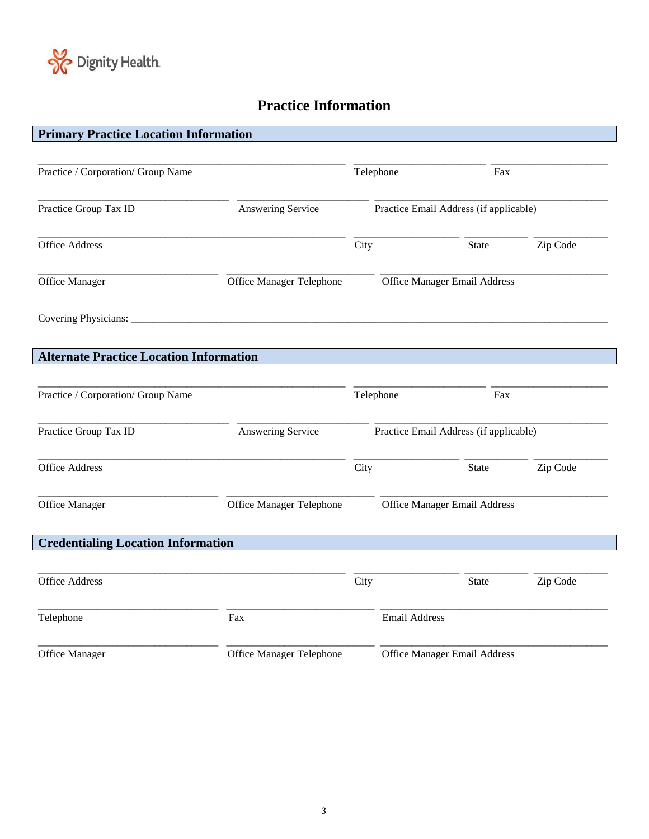

 $\overline{\phantom{a}}$ 

 $\overline{\phantom{a}}$ 

## **Practice Information**

| <b>Primary Practice Location Information</b>   |                          |      |                      |                                        |          |
|------------------------------------------------|--------------------------|------|----------------------|----------------------------------------|----------|
| Practice / Corporation/ Group Name             |                          |      | Telephone            | Fax                                    |          |
|                                                |                          |      |                      |                                        |          |
| Practice Group Tax ID                          | Answering Service        |      |                      | Practice Email Address (if applicable) |          |
| <b>Office Address</b>                          |                          | City |                      | State                                  | Zip Code |
| Office Manager                                 | Office Manager Telephone |      |                      | <b>Office Manager Email Address</b>    |          |
| Covering Physicians:                           |                          |      |                      |                                        |          |
| <b>Alternate Practice Location Information</b> |                          |      |                      |                                        |          |
| Practice / Corporation/ Group Name             |                          |      | Telephone            | Fax                                    |          |
| Practice Group Tax ID                          | Answering Service        |      |                      | Practice Email Address (if applicable) |          |
| <b>Office Address</b>                          |                          | City |                      | <b>State</b>                           | Zip Code |
| Office Manager                                 | Office Manager Telephone |      |                      | Office Manager Email Address           |          |
| <b>Credentialing Location Information</b>      |                          |      |                      |                                        |          |
| <b>Office Address</b>                          |                          | City |                      | <b>State</b>                           | Zip Code |
| Telephone                                      | Fax                      |      | <b>Email Address</b> |                                        |          |
| Office Manager                                 | Office Manager Telephone |      |                      | <b>Office Manager Email Address</b>    |          |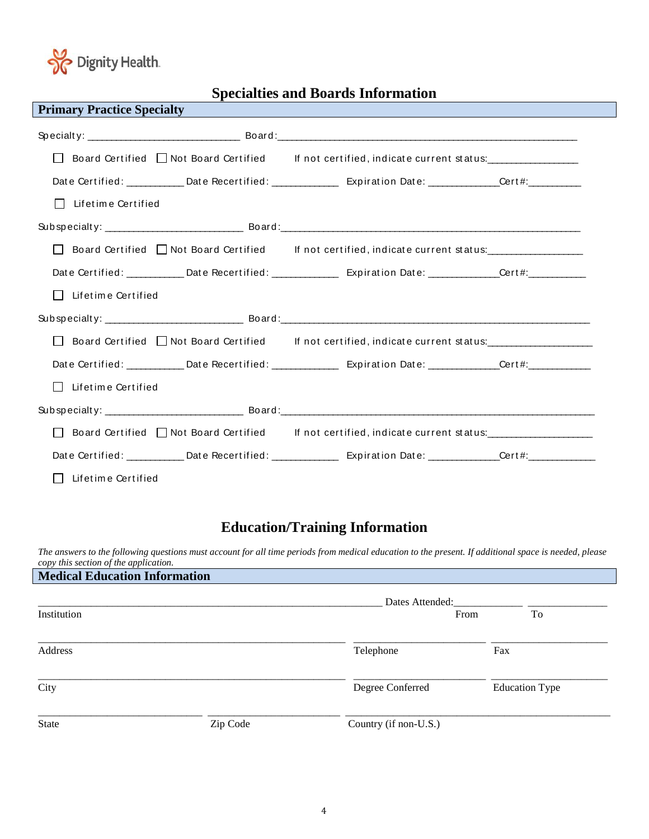

## **Specialties and Boards Information**

| <b>Primary Practice Specialty</b>  | and the state of the state of the state of the state of the state of the state of the state of the state of th                          |  |
|------------------------------------|-----------------------------------------------------------------------------------------------------------------------------------------|--|
|                                    |                                                                                                                                         |  |
|                                    | Board Certified I Not Board Certified If not certified, indicate current status:                                                        |  |
|                                    | Date Certified: ___________Date Recertified: ____________________Expiration Date: _____________Cert#: _________                         |  |
| $\Box$<br>Lifetime Certified       |                                                                                                                                         |  |
|                                    |                                                                                                                                         |  |
|                                    | □ Board Certified □ Not Board Certified lf not certified, indicate current status:                                                      |  |
|                                    |                                                                                                                                         |  |
| Lifetime Certified                 |                                                                                                                                         |  |
|                                    |                                                                                                                                         |  |
|                                    | □ Board Certified □ Not Board Certified lf not certified, indicate current status:                                                      |  |
|                                    | Date Certified: ___________ Date Recertified: ______________ Expiration Date: ____________Cert#: ____________                           |  |
| Lifetime Certified<br>$\mathbf{L}$ |                                                                                                                                         |  |
|                                    |                                                                                                                                         |  |
|                                    | □ Board Certified □ Not Board Certified lf not certified, indicate current status:                                                      |  |
|                                    | Date Certified: ____________Date Recertified: ________________________Expiration Date: _______________Cert#:___________________________ |  |
| Lifetime Certified<br>$\mathbf{L}$ |                                                                                                                                         |  |

## **Education/Training Information**

*The answers to the following questions must account for all time periods from medical education to the present. If additional space is needed, please copy this section of the application.*

| <b>Medical Education Information</b> |          |                       |                       |
|--------------------------------------|----------|-----------------------|-----------------------|
|                                      |          | Dates Attended:       |                       |
| Institution                          |          | From                  | To                    |
| Address                              |          | Telephone             | Fax                   |
| City                                 |          | Degree Conferred      | <b>Education Type</b> |
| <b>State</b>                         | Zip Code | Country (if non-U.S.) |                       |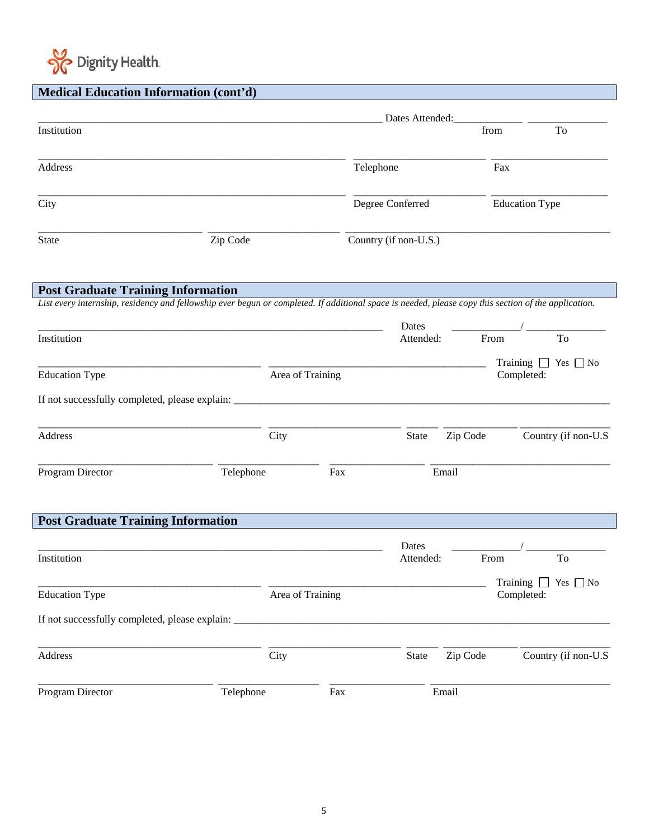

|  | <b>Medical Education Information (cont'd)</b> |  |
|--|-----------------------------------------------|--|

|                                                                                                                                                                                                   |                  |                  | Dates Attended:                             |          |                                             |
|---------------------------------------------------------------------------------------------------------------------------------------------------------------------------------------------------|------------------|------------------|---------------------------------------------|----------|---------------------------------------------|
| Institution                                                                                                                                                                                       |                  |                  |                                             | from     | To                                          |
| Address                                                                                                                                                                                           |                  |                  | Telephone                                   | Fax      |                                             |
| City                                                                                                                                                                                              |                  |                  | Degree Conferred                            |          | <b>Education Type</b>                       |
| <b>State</b>                                                                                                                                                                                      | Zip Code         |                  | Country (if non-U.S.)                       |          |                                             |
| <b>Post Graduate Training Information</b><br>List every internship, residency and fellowship ever begun or completed. If additional space is needed, please copy this section of the application. |                  |                  |                                             |          |                                             |
|                                                                                                                                                                                                   |                  |                  | Dates                                       |          |                                             |
| Institution                                                                                                                                                                                       |                  |                  | Attended:                                   | From     | To                                          |
| <b>Education Type</b>                                                                                                                                                                             |                  | Area of Training |                                             |          | Training $\Box$ Yes $\Box$ No<br>Completed: |
|                                                                                                                                                                                                   |                  |                  |                                             |          |                                             |
| Address                                                                                                                                                                                           | City             |                  | State                                       | Zip Code | Country (if non-U.S                         |
| Program Director                                                                                                                                                                                  | Telephone        | Fax              |                                             | Email    |                                             |
| <b>Post Graduate Training Information</b>                                                                                                                                                         |                  |                  |                                             |          |                                             |
|                                                                                                                                                                                                   |                  |                  | Dates                                       |          |                                             |
| Institution                                                                                                                                                                                       |                  |                  | Attended:                                   | From     | To                                          |
| <b>Education Type</b>                                                                                                                                                                             | Area of Training |                  | Training $\Box$ Yes $\Box$ No<br>Completed: |          |                                             |
|                                                                                                                                                                                                   |                  |                  |                                             |          |                                             |
| Address                                                                                                                                                                                           | City             |                  | State                                       | Zip Code | Country (if non-U.S                         |
| Program Director                                                                                                                                                                                  | Telephone        | Fax              |                                             | Email    |                                             |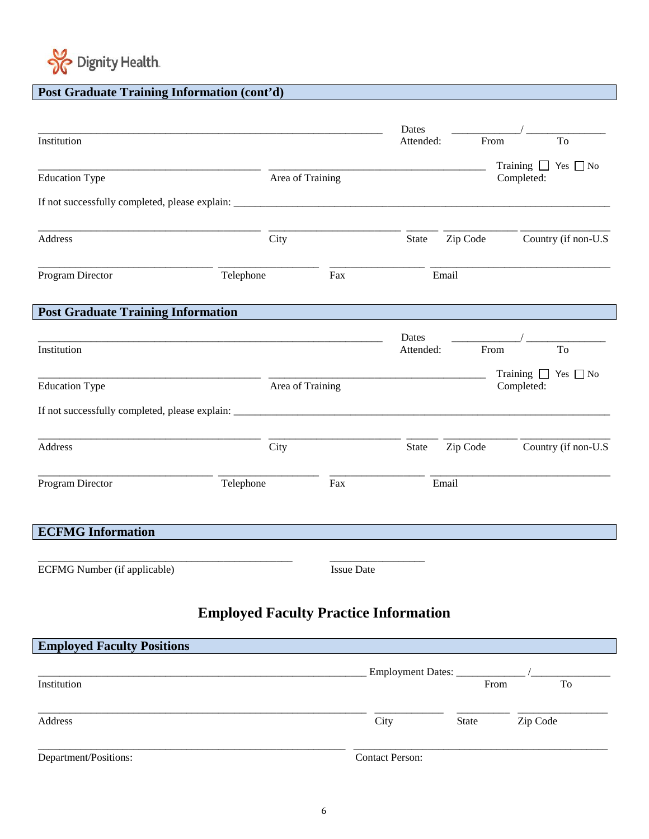

#### $\overline{a}$ **Post Graduate Training Information (cont'd)**

| Institution                               |                                              |                   | Dates<br>Attended:     |          | From                                        | To                  |
|-------------------------------------------|----------------------------------------------|-------------------|------------------------|----------|---------------------------------------------|---------------------|
| <b>Education Type</b>                     |                                              | Area of Training  |                        |          | Training $\Box$ Yes $\Box$ No<br>Completed: |                     |
|                                           |                                              |                   |                        |          |                                             |                     |
| Address                                   | City                                         |                   | State                  | Zip Code |                                             | Country (if non-U.S |
| Program Director                          | Telephone                                    | Fax               |                        | Email    |                                             |                     |
| <b>Post Graduate Training Information</b> |                                              |                   |                        |          |                                             |                     |
| Institution                               |                                              |                   | Dates                  |          |                                             |                     |
|                                           |                                              |                   | Attended:              |          | From                                        | To                  |
| <b>Education Type</b>                     |                                              | Area of Training  |                        |          | Training $\Box$ Yes $\Box$ No<br>Completed: |                     |
|                                           |                                              |                   |                        |          |                                             |                     |
| Address                                   | City                                         |                   | State                  | Zip Code |                                             | Country (if non-U.S |
| Program Director                          | Telephone                                    | Fax               |                        | Email    |                                             |                     |
| <b>ECFMG</b> Information                  |                                              |                   |                        |          |                                             |                     |
| ECFMG Number (if applicable)              |                                              | <b>Issue Date</b> |                        |          |                                             |                     |
|                                           | <b>Employed Faculty Practice Information</b> |                   |                        |          |                                             |                     |
| <b>Employed Faculty Positions</b>         |                                              |                   |                        |          |                                             |                     |
|                                           |                                              |                   | Employment Dates: ___  |          |                                             |                     |
| Institution                               |                                              |                   |                        |          | From                                        | To                  |
| Address                                   |                                              | City              |                        | State    | Zip Code                                    |                     |
| Department/Positions:                     |                                              |                   | <b>Contact Person:</b> |          |                                             |                     |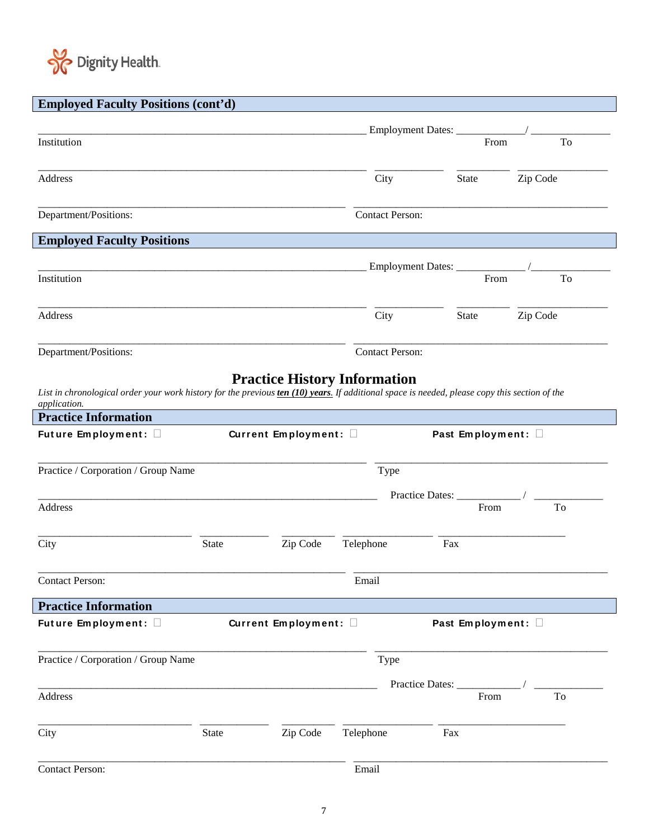

# **Employed Faculty Positions (cont'd)**

|                                                                                                                                                                                                                              |              |                       |                        | Employment Dates: __________  |          |    |
|------------------------------------------------------------------------------------------------------------------------------------------------------------------------------------------------------------------------------|--------------|-----------------------|------------------------|-------------------------------|----------|----|
| Institution                                                                                                                                                                                                                  |              |                       |                        |                               | From     | To |
| Address                                                                                                                                                                                                                      |              |                       | City                   | <b>State</b>                  | Zip Code |    |
| Department/Positions:                                                                                                                                                                                                        |              |                       | <b>Contact Person:</b> |                               |          |    |
| <b>Employed Faculty Positions</b>                                                                                                                                                                                            |              |                       |                        |                               |          |    |
| Institution                                                                                                                                                                                                                  |              |                       |                        | Employment Dates: ___________ | From     | To |
| Address                                                                                                                                                                                                                      |              |                       | City                   | <b>State</b>                  | Zip Code |    |
| Department/Positions:                                                                                                                                                                                                        |              |                       | <b>Contact Person:</b> |                               |          |    |
| List in chronological order your work history for the previous ten (10) years. If additional space is needed, please copy this section of the<br>application.<br><b>Practice Information</b><br>Future Employment: $\square$ |              | Current Employment: 0 |                        | Past Employment: 0            |          |    |
| Practice / Corporation / Group Name                                                                                                                                                                                          |              |                       | Type                   |                               |          |    |
|                                                                                                                                                                                                                              |              |                       |                        | Practice Dates:               |          |    |
| Address                                                                                                                                                                                                                      |              |                       |                        |                               | From     | To |
| City                                                                                                                                                                                                                         | <b>State</b> | Zip Code              | Telephone              | Fax                           |          |    |
| <b>Contact Person:</b>                                                                                                                                                                                                       |              |                       | Email                  |                               |          |    |
| <b>Practice Information</b>                                                                                                                                                                                                  |              |                       |                        |                               |          |    |
| Future Employment: $\square$                                                                                                                                                                                                 |              | Current Employment: 0 |                        | Past Employment: 0            |          |    |
| Practice / Corporation / Group Name                                                                                                                                                                                          |              |                       | Type                   |                               |          |    |
| <b>Address</b>                                                                                                                                                                                                               |              |                       |                        | Practice Dates: _____         | From     | To |
| City                                                                                                                                                                                                                         | <b>State</b> | Zip Code              | Telephone              | Fax                           |          |    |
| <b>Contact Person:</b>                                                                                                                                                                                                       |              |                       | Email                  |                               |          |    |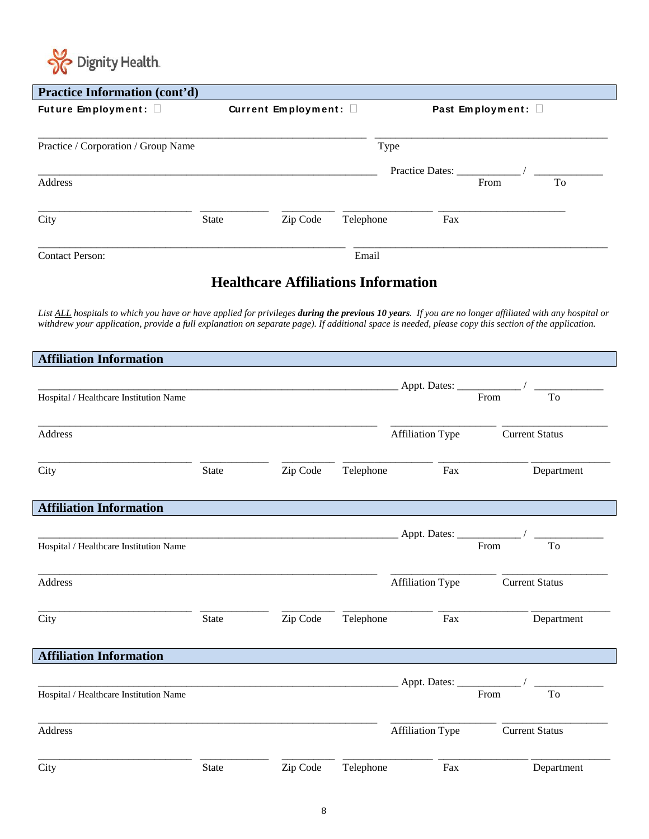

 $\mathbf{I}$ 

| <b>Practice Information (cont'd)</b> |              |                       |           |                            |    |  |  |
|--------------------------------------|--------------|-----------------------|-----------|----------------------------|----|--|--|
| Future Employment: 0                 |              | Current Employment: 0 |           | Past Employment: $\square$ |    |  |  |
| Practice / Corporation / Group Name  |              |                       | Type      |                            |    |  |  |
| Address                              |              |                       |           | Practice Dates:<br>From    | To |  |  |
| City                                 | <b>State</b> | Zip Code              | Telephone | Fax                        |    |  |  |
| <b>Contact Person:</b>               |              |                       | Email     |                            |    |  |  |

## **Healthcare Affiliations Information**

*List ALL hospitals to which you have or have applied for privileges during the previous 10 years. If you are no longer affiliated with any hospital or withdrew your application, provide a full explanation on separate page). If additional space is needed, please copy this section of the application.*

| <b>Affiliation Information</b>         |              |          |           |                         |                       |
|----------------------------------------|--------------|----------|-----------|-------------------------|-----------------------|
|                                        |              |          |           | Appt. Dates: From       |                       |
| Hospital / Healthcare Institution Name |              |          |           |                         | To                    |
| <b>Address</b>                         |              |          |           | <b>Affiliation Type</b> | <b>Current Status</b> |
| City                                   | <b>State</b> | Zip Code | Telephone | Fax                     | Department            |
| <b>Affiliation Information</b>         |              |          |           |                         |                       |
|                                        |              |          |           |                         |                       |
| Hospital / Healthcare Institution Name |              |          |           |                         | From<br>To            |
| <b>Address</b>                         |              |          |           | <b>Affiliation Type</b> | <b>Current Status</b> |
| City                                   | <b>State</b> | Zip Code | Telephone | Fax                     | Department            |
| <b>Affiliation Information</b>         |              |          |           |                         |                       |
|                                        |              |          |           |                         |                       |
| Hospital / Healthcare Institution Name |              |          |           |                         | From<br><b>To</b>     |
| Address                                |              |          |           | <b>Affiliation Type</b> | <b>Current Status</b> |
| City                                   | <b>State</b> | Zip Code | Telephone | Fax                     | Department            |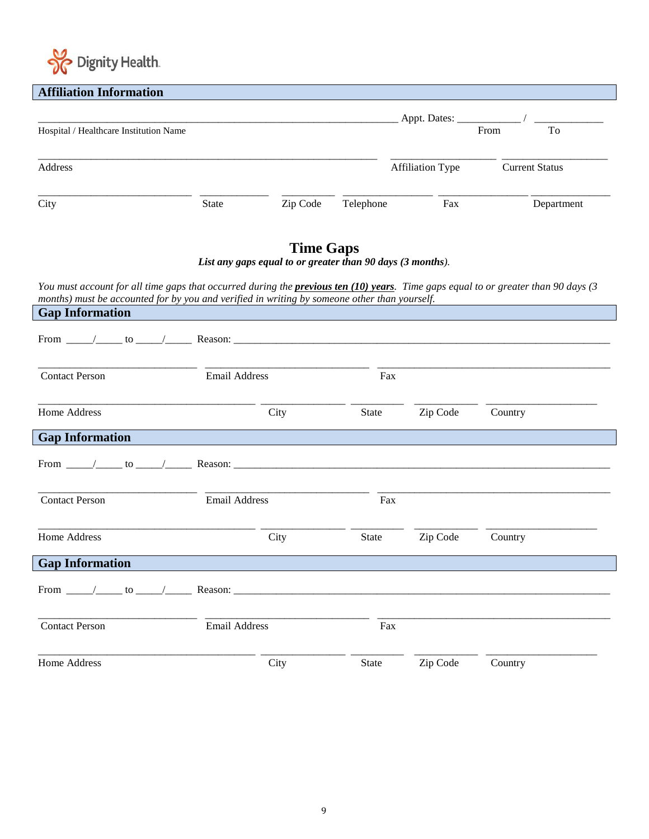

| <b>Affiliation Information</b>                                                                                                                                                                                                              |                                                            |                  |              |                         |                       |
|---------------------------------------------------------------------------------------------------------------------------------------------------------------------------------------------------------------------------------------------|------------------------------------------------------------|------------------|--------------|-------------------------|-----------------------|
|                                                                                                                                                                                                                                             |                                                            |                  |              |                         |                       |
| Hospital / Healthcare Institution Name                                                                                                                                                                                                      |                                                            |                  |              |                         | From<br>To            |
|                                                                                                                                                                                                                                             |                                                            |                  |              |                         |                       |
|                                                                                                                                                                                                                                             |                                                            |                  |              |                         |                       |
| Address                                                                                                                                                                                                                                     |                                                            |                  |              | <b>Affiliation Type</b> | <b>Current Status</b> |
|                                                                                                                                                                                                                                             |                                                            |                  |              |                         |                       |
| City                                                                                                                                                                                                                                        | State                                                      | Zip Code         | Telephone    | Fax                     | Department            |
|                                                                                                                                                                                                                                             |                                                            |                  |              |                         |                       |
|                                                                                                                                                                                                                                             |                                                            |                  |              |                         |                       |
|                                                                                                                                                                                                                                             |                                                            | <b>Time Gaps</b> |              |                         |                       |
|                                                                                                                                                                                                                                             | List any gaps equal to or greater than 90 days (3 months). |                  |              |                         |                       |
|                                                                                                                                                                                                                                             |                                                            |                  |              |                         |                       |
| You must account for all time gaps that occurred during the <b>previous ten (10) years</b> . Time gaps equal to or greater than 90 days (3)<br>months) must be accounted for by you and verified in writing by someone other than yourself. |                                                            |                  |              |                         |                       |
| <b>Gap Information</b>                                                                                                                                                                                                                      |                                                            |                  |              |                         |                       |
|                                                                                                                                                                                                                                             |                                                            |                  |              |                         |                       |
|                                                                                                                                                                                                                                             |                                                            |                  |              |                         |                       |
|                                                                                                                                                                                                                                             |                                                            |                  |              |                         |                       |
|                                                                                                                                                                                                                                             |                                                            |                  |              |                         |                       |
| <b>Contact Person</b>                                                                                                                                                                                                                       | Email Address                                              |                  | Fax          |                         |                       |
|                                                                                                                                                                                                                                             |                                                            |                  |              |                         |                       |
| Home Address                                                                                                                                                                                                                                |                                                            | City             | State        | Zip Code                | Country               |
|                                                                                                                                                                                                                                             |                                                            |                  |              |                         |                       |
| <b>Gap Information</b>                                                                                                                                                                                                                      |                                                            |                  |              |                         |                       |
|                                                                                                                                                                                                                                             |                                                            |                  |              |                         |                       |
|                                                                                                                                                                                                                                             |                                                            |                  |              |                         |                       |
|                                                                                                                                                                                                                                             |                                                            |                  |              |                         |                       |
| <b>Contact Person</b>                                                                                                                                                                                                                       | <b>Email Address</b>                                       |                  | Fax          |                         |                       |
|                                                                                                                                                                                                                                             |                                                            |                  |              |                         |                       |
| Home Address                                                                                                                                                                                                                                |                                                            |                  |              |                         |                       |
|                                                                                                                                                                                                                                             |                                                            | City             | <b>State</b> | Zip Code                | Country               |
| <b>Gap Information</b>                                                                                                                                                                                                                      |                                                            |                  |              |                         |                       |
|                                                                                                                                                                                                                                             |                                                            |                  |              |                         |                       |
|                                                                                                                                                                                                                                             |                                                            |                  |              |                         |                       |
|                                                                                                                                                                                                                                             |                                                            |                  |              |                         |                       |
| <b>Contact Person</b>                                                                                                                                                                                                                       | <b>Email Address</b>                                       |                  | Fax          |                         |                       |
|                                                                                                                                                                                                                                             |                                                            |                  |              |                         |                       |

Home Address City City State Zip Code Country

\_\_\_\_\_\_\_\_\_\_\_\_\_\_\_\_\_\_\_\_\_\_\_\_\_\_\_\_\_\_\_\_\_\_\_\_\_\_\_\_\_ \_\_\_\_\_\_\_\_\_\_\_\_\_\_\_\_ \_\_\_\_\_\_\_\_\_\_ \_\_\_\_\_\_\_\_\_\_\_\_ \_\_\_\_\_\_\_\_\_\_\_\_\_\_\_\_\_\_\_\_\_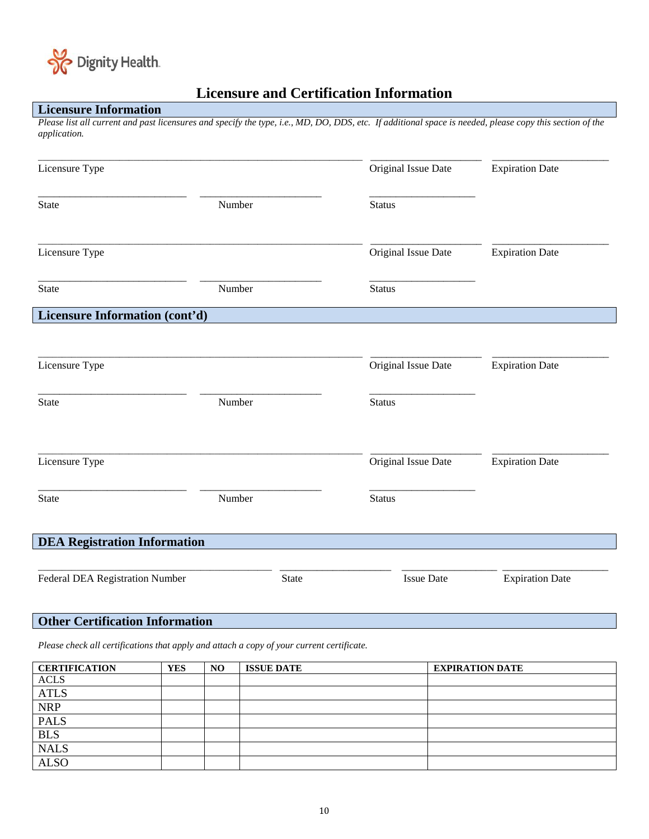

## **Licensure and Certification Information**

### **Licensure Information**

*Please list all current and past licensures and specify the type, i.e., MD, DO, DDS, etc. If additional space is needed, please copy this section of the application.*

| Licensure Type                      |        |              | Original Issue Date | <b>Expiration Date</b> |
|-------------------------------------|--------|--------------|---------------------|------------------------|
| <b>State</b>                        | Number |              | <b>Status</b>       |                        |
| Licensure Type                      |        |              | Original Issue Date | <b>Expiration Date</b> |
| <b>State</b>                        | Number |              | <b>Status</b>       |                        |
| Licensure Information (cont'd)      |        |              |                     |                        |
| Licensure Type                      |        |              | Original Issue Date | <b>Expiration Date</b> |
| <b>State</b>                        | Number |              | <b>Status</b>       |                        |
| Licensure Type                      |        |              | Original Issue Date | <b>Expiration Date</b> |
| <b>State</b>                        | Number |              | <b>Status</b>       |                        |
| <b>DEA Registration Information</b> |        |              |                     |                        |
| Federal DEA Registration Number     |        | <b>State</b> | <b>Issue Date</b>   | <b>Expiration Date</b> |

### **Other Certification Information**

*Please check all certifications that apply and attach a copy of your current certificate.*

| <b>CERTIFICATION</b> | <b>YES</b> | NO. | <b>ISSUE DATE</b> | <b>EXPIRATION DATE</b> |
|----------------------|------------|-----|-------------------|------------------------|
| <b>ACLS</b>          |            |     |                   |                        |
| <b>ATLS</b>          |            |     |                   |                        |
| <b>NRP</b>           |            |     |                   |                        |
| <b>PALS</b>          |            |     |                   |                        |
| <b>BLS</b>           |            |     |                   |                        |
| <b>NALS</b>          |            |     |                   |                        |
| <b>ALSO</b>          |            |     |                   |                        |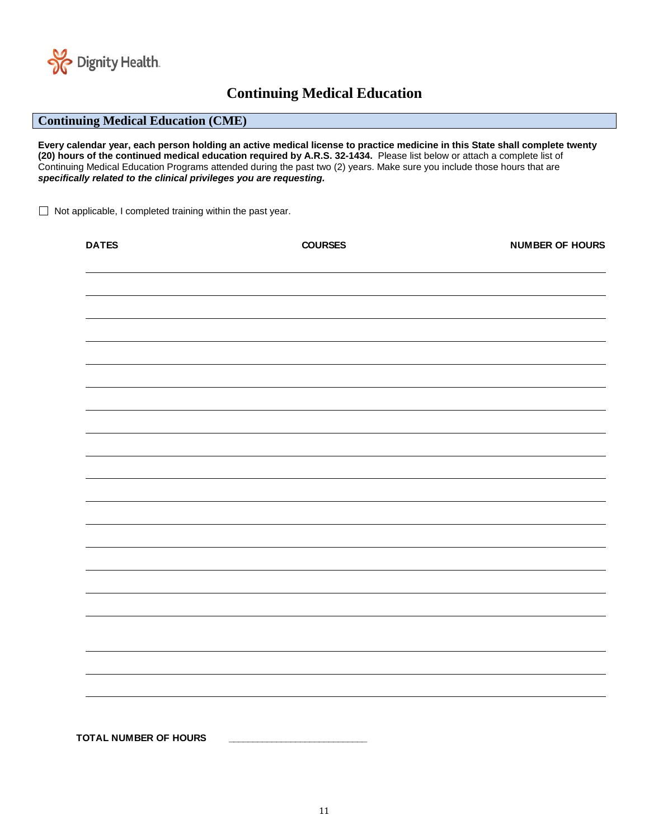

## **Continuing Medical Education**

### **Continuing Medical Education (CME)**

**Every calendar year, each person holding an active medical license to practice medicine in this State shall complete twenty (20) hours of the continued medical education required by A.R.S. 32-1434.** Please list below or attach a complete list of Continuing Medical Education Programs attended during the past two (2) years. Make sure you include those hours that are *specifically related to the clinical privileges you are requesting.*

 $\Box$  Not applicable, I completed training within the past year.

| <b>DATES</b>                 | <b>COURSES</b> | <b>NUMBER OF HOURS</b> |
|------------------------------|----------------|------------------------|
|                              |                |                        |
|                              |                |                        |
|                              |                |                        |
|                              |                |                        |
|                              |                |                        |
|                              |                |                        |
|                              |                |                        |
|                              |                |                        |
|                              |                |                        |
|                              |                |                        |
|                              |                |                        |
|                              |                |                        |
|                              |                |                        |
|                              |                |                        |
|                              |                |                        |
|                              |                |                        |
| <b>TOTAL NUMBER OF HOURS</b> |                |                        |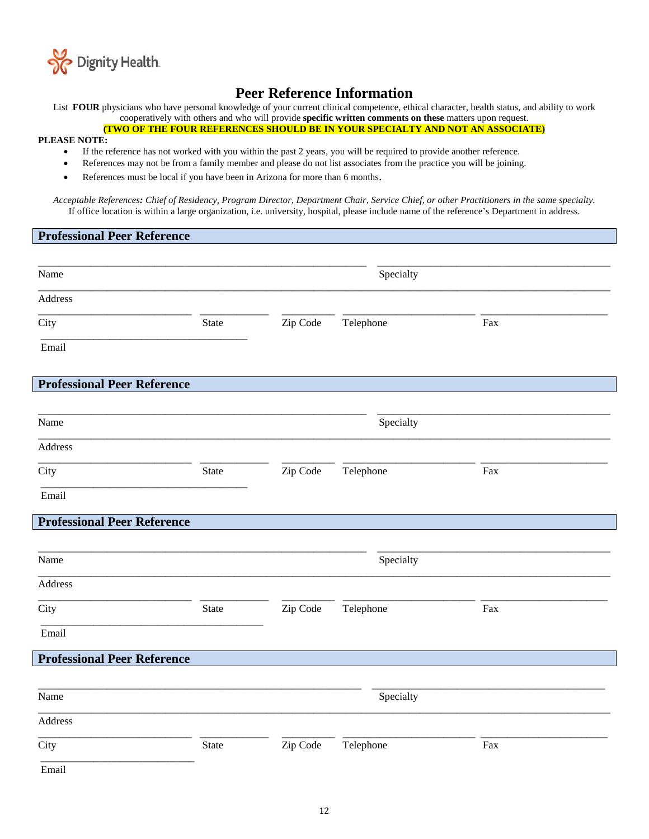

## **Peer Reference Information**

List **FOUR** physicians who have personal knowledge of your current clinical competence, ethical character, health status, and ability to work cooperatively with others and who will provide **specific written comments on these** matters upon request.

**(TWO OF THE FOUR REFERENCES SHOULD BE IN YOUR SPECIALTY AND NOT AN ASSOCIATE)**

#### **PLEASE NOTE:**

- If the reference has not worked with you within the past 2 years, you will be required to provide another reference.
- References may not be from a family member and please do not list associates from the practice you will be joining.
- References must be local if you have been in Arizona for more than 6 months.

*Acceptable References: Chief of Residency, Program Director, Department Chair, Service Chief, or other Practitioners in the same specialty.* If office location is within a large organization, i.e. university, hospital, please include name of the reference's Department in address.

### **Professional Peer Reference**

| Name                               | Specialty |          |           |     |
|------------------------------------|-----------|----------|-----------|-----|
| Address                            |           |          |           |     |
| City                               | State     | Zip Code | Telephone | Fax |
| Email                              |           |          |           |     |
| <b>Professional Peer Reference</b> |           |          |           |     |
| Name                               |           |          | Specialty |     |
| Address                            |           |          |           |     |
| City                               | State     | Zip Code | Telephone | Fax |
| Email                              |           |          |           |     |
| <b>Professional Peer Reference</b> |           |          |           |     |
|                                    |           |          |           |     |
| Name                               |           |          | Specialty |     |
| Address                            |           |          |           |     |
| City                               | State     | Zip Code | Telephone | Fax |
| Email                              |           |          |           |     |
| <b>Professional Peer Reference</b> |           |          |           |     |
|                                    |           |          |           |     |
| Name                               |           |          | Specialty |     |
| Address                            |           |          |           |     |
| City                               | State     | Zip Code | Telephone | Fax |
| Email                              |           |          |           |     |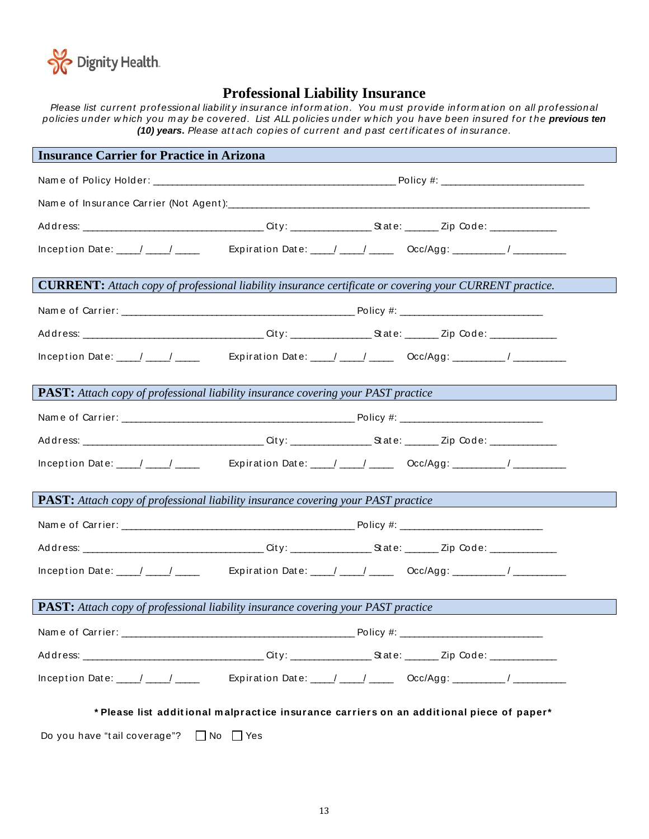

## **Professional Liability Insurance**

*Please list current professional liability insurance information. You must provide information on all professional policies under w hich you m ay be covered. List ALL policies under w hich you have been insured f or t he previous ten (10) years. Please attach copies of current and past certificates of insurance.* 

| <b>Insurance Carrier for Practice in Arizona</b>                                         |                                                                                                                                                                                                                                                                                                                                                                                                          |
|------------------------------------------------------------------------------------------|----------------------------------------------------------------------------------------------------------------------------------------------------------------------------------------------------------------------------------------------------------------------------------------------------------------------------------------------------------------------------------------------------------|
|                                                                                          |                                                                                                                                                                                                                                                                                                                                                                                                          |
|                                                                                          |                                                                                                                                                                                                                                                                                                                                                                                                          |
|                                                                                          |                                                                                                                                                                                                                                                                                                                                                                                                          |
|                                                                                          | Inception Date: $\sqrt{2}$ / Expiration Date: $\sqrt{2}$ / Coc/Agg: $\sqrt{2}$                                                                                                                                                                                                                                                                                                                           |
|                                                                                          |                                                                                                                                                                                                                                                                                                                                                                                                          |
|                                                                                          | <b>CURRENT:</b> Attach copy of professional liability insurance certificate or covering your CURRENT practice.                                                                                                                                                                                                                                                                                           |
|                                                                                          |                                                                                                                                                                                                                                                                                                                                                                                                          |
|                                                                                          |                                                                                                                                                                                                                                                                                                                                                                                                          |
|                                                                                          | Inception Date: $\sqrt{2\pi}$ Expiration Date: $\sqrt{2\pi}$ Occ/Agg: $\sqrt{2\pi}$                                                                                                                                                                                                                                                                                                                      |
|                                                                                          |                                                                                                                                                                                                                                                                                                                                                                                                          |
| <b>PAST:</b> Attach copy of professional liability insurance covering your PAST practice |                                                                                                                                                                                                                                                                                                                                                                                                          |
|                                                                                          |                                                                                                                                                                                                                                                                                                                                                                                                          |
|                                                                                          |                                                                                                                                                                                                                                                                                                                                                                                                          |
|                                                                                          | Inception Date: $\frac{1}{\sqrt{1-\frac{1}{2}}}\frac{1}{\sqrt{1-\frac{1}{2}}\sqrt{1-\frac{1}{2}}}\frac{1}{\sqrt{1-\frac{1}{2}}\sqrt{1-\frac{1}{2}}\sqrt{1-\frac{1}{2}}\sqrt{1-\frac{1}{2}}\sqrt{1-\frac{1}{2}}\sqrt{1-\frac{1}{2}}\sqrt{1-\frac{1}{2}}\sqrt{1-\frac{1}{2}}\sqrt{1-\frac{1}{2}}\sqrt{1-\frac{1}{2}}\sqrt{1-\frac{1}{2}}\sqrt{1-\frac{1}{2}}\sqrt{1-\frac{1}{2}}\sqrt{1-\frac{1}{2}}\sqrt$ |
|                                                                                          |                                                                                                                                                                                                                                                                                                                                                                                                          |
| <b>PAST:</b> Attach copy of professional liability insurance covering your PAST practice |                                                                                                                                                                                                                                                                                                                                                                                                          |
|                                                                                          |                                                                                                                                                                                                                                                                                                                                                                                                          |
|                                                                                          |                                                                                                                                                                                                                                                                                                                                                                                                          |
|                                                                                          | Inception Date: ____/ ____/ _____ Expiration Date: ____/ ____/ _____ Occ/Agg: _________/ __________                                                                                                                                                                                                                                                                                                      |
|                                                                                          |                                                                                                                                                                                                                                                                                                                                                                                                          |
| <b>PAST:</b> Attach copy of professional liability insurance covering your PAST practice |                                                                                                                                                                                                                                                                                                                                                                                                          |
|                                                                                          |                                                                                                                                                                                                                                                                                                                                                                                                          |
|                                                                                          |                                                                                                                                                                                                                                                                                                                                                                                                          |
| Inception Date: $\frac{1}{2}$ $\frac{1}{2}$ $\frac{1}{2}$ $\frac{1}{2}$                  | Expiration Date: ____/ ____/ ______ Occ/Agg: __________/ _______________________                                                                                                                                                                                                                                                                                                                         |
|                                                                                          |                                                                                                                                                                                                                                                                                                                                                                                                          |
|                                                                                          | * Please list additional malpractice insurance carriers on an additional piece of paper*                                                                                                                                                                                                                                                                                                                 |
| Do you have "tail coverage"? $\Box$ No $\Box$ Yes                                        |                                                                                                                                                                                                                                                                                                                                                                                                          |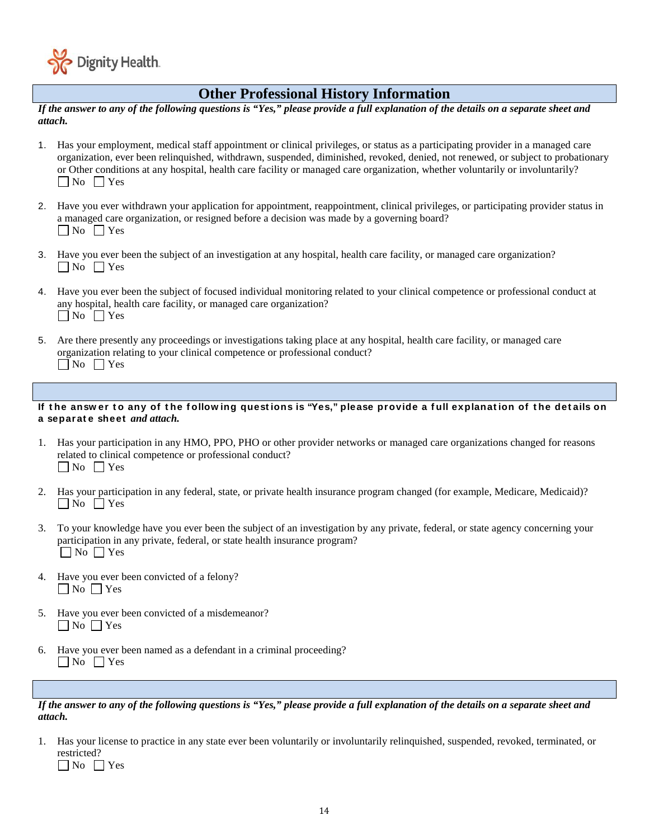

### $\overline{a}$ **Other Professional History Information**

*If the answer to any of the following questions is "Yes," please provide a full explanation of the details on a separate sheet and attach.*

- 1. Has your employment, medical staff appointment or clinical privileges, or status as a participating provider in a managed care organization, ever been relinquished, withdrawn, suspended, diminished, revoked, denied, not renewed, or subject to probationary or Other conditions at any hospital, health care facility or managed care organization, whether voluntarily or involuntarily?  $\n **Now**\n **Yes**\n$
- 2. Have you ever withdrawn your application for appointment, reappointment, clinical privileges, or participating provider status in a managed care organization, or resigned before a decision was made by a governing board?  $\Box$  No  $\Box$  Yes
- 3. Have you ever been the subject of an investigation at any hospital, health care facility, or managed care organization?  $\Box$  No  $\Box$  Yes
- 4. Have you ever been the subject of focused individual monitoring related to your clinical competence or professional conduct at any hospital, health care facility, or managed care organization?  $\n **Now**\n **Yes**\n$
- 5. Are there presently any proceedings or investigations taking place at any hospital, health care facility, or managed care organization relating to your clinical competence or professional conduct?  $\n **Now**\n **Yes**\n$

### If the answer to any of the following questions is "Yes," please provide a full explanation of the details on **a separat e sheet** *and attach.*

- 1. Has your participation in any HMO, PPO, PHO or other provider networks or managed care organizations changed for reasons related to clinical competence or professional conduct?  $\Box$  No  $\Box$  Yes
- 2. Has your participation in any federal, state, or private health insurance program changed (for example, Medicare, Medicaid)?  $\Box$  No  $\Box$  Yes
- 3. To your knowledge have you ever been the subject of an investigation by any private, federal, or state agency concerning your participation in any private, federal, or state health insurance program?  $\Box$  No  $\Box$  Yes
- 4. Have you ever been convicted of a felony?  $\Box$  No  $\Box$  Yes
- 5. Have you ever been convicted of a misdemeanor?  $\Box$  No  $\Box$  Yes
- 6. Have you ever been named as a defendant in a criminal proceeding?  $\Box$  No  $\Box$  Yes

*If the answer to any of the following questions is "Yes," please provide a full explanation of the details on a separate sheet and attach.*

1. Has your license to practice in any state ever been voluntarily or involuntarily relinquished, suspended, revoked, terminated, or restricted?  $\n **No**\n **Yes**\n$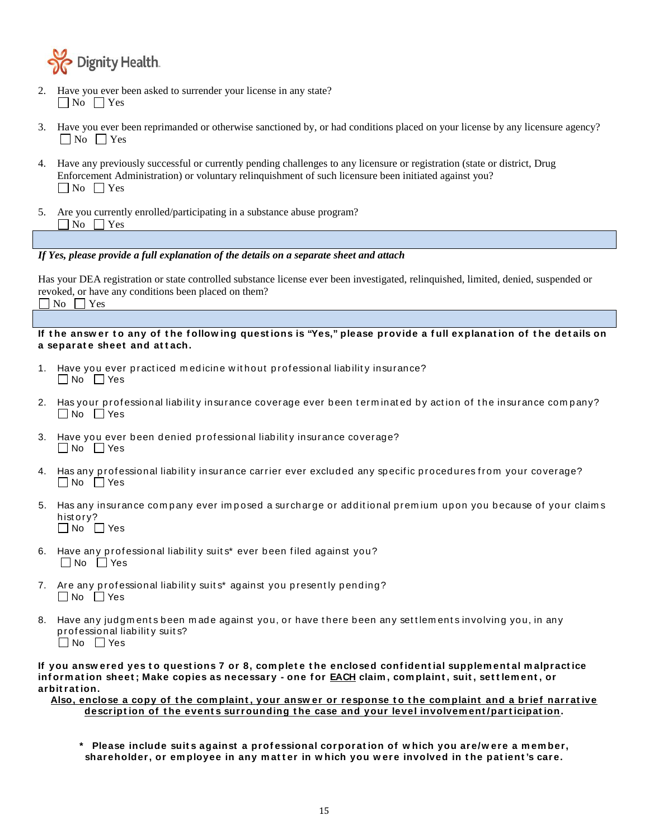

- 2. Have you ever been asked to surrender your license in any state?  $\Box$  No  $\Box$  Yes
- 3. Have you ever been reprimanded or otherwise sanctioned by, or had conditions placed on your license by any licensure agency?  $\n  $\square$  No  $\square$  Yes$
- 4. Have any previously successful or currently pending challenges to any licensure or registration (state or district, Drug Enforcement Administration) or voluntary relinquishment of such licensure been initiated against you?  $\n **Now**\n **Yes**\n$
- 5. Are you currently enrolled/participating in a substance abuse program?  $\Box$  No  $\Box$  Yes

### *If Yes, please provide a full explanation of the details on a separate sheet and attach*

Has your DEA registration or state controlled substance license ever been investigated, relinquished, limited, denied, suspended or revoked, or have any conditions been placed on them?  $\Box$  No  $\Box$  Yes

### If the answer to any of the following questions is "Yes," please provide a full explanation of the details on **a separat e sheet and at t ach.**

- Have you ever practiced medicine without professional liability insurance?  $\Box$  No  $\Box$  Yes
- 2. Has your professional liability insurance coverage ever been terminated by action of the insurance company?  $\Box$  No  $\Box$  Yes
- 3. Have you ever been denied professional liability insurance coverage?  $\Box$  No  $\Box$  Yes
- 4. Has any professional liability insurance carrier ever excluded any specific procedures from your coverage?  $\Box$  No  $\Box$  Yes
- 5. Has any insurance company ever imposed a surcharge or additional premium upon you because of your claims hist ory?  $\Box$  No  $\Box$  Yes
- 6. Have any professional liability suits\* ever been filed against you? No Yes
- 7. Are any professional liability suits\* against you presently pending?  $\Box$  No  $\Box$  Yes
- 8. Have any jud gm ents been made against you, or have there been any settlements involving you, in any p rof essional liab ilit y suit s?  $\Box$  No  $\Box$  Yes

If you answered yes to questions 7 or 8, complete the enclosed confidential supplemental malpractice **inf orm at ion sheet ; Make copies as necessary - one for EACH claim , com plaint , suit , set t lem ent , or arbit rat ion.**

Also, enclose a copy of the complaint, your answer or response to the complaint and a brief narrative **descript ion of t he event s surrounding t he case and your level involvem ent /part icipat ion.**

**\* Please include suit s against a prof essional corporat ion of w hich you are/w ere a m em ber,**  shareholder, or employee in any matter in which you were involved in the patient's care.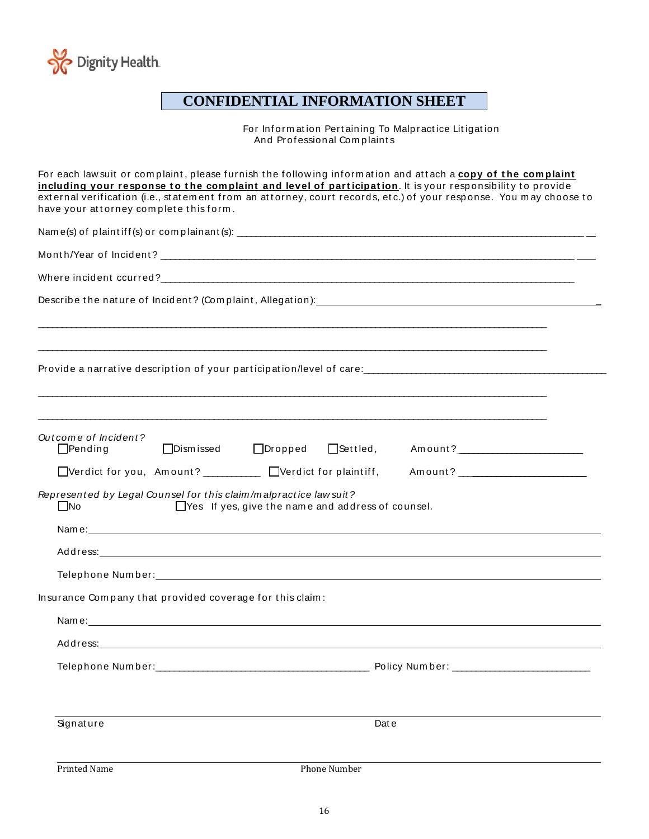

## **CONFIDENTIAL INFORMATION SHEET**

For Information Pertaining To Malpractice Litigation And Professional Complaints

| have your attorney complete this form.                                         | For each lawsuit or complaint, please furnish the following information and attach a copy of the complaint<br>including your response to the complaint and level of participation. It is your responsibility to provide<br>external verification (i.e., statement from an attorney, court records, etc.) of your response. You may choose to |
|--------------------------------------------------------------------------------|----------------------------------------------------------------------------------------------------------------------------------------------------------------------------------------------------------------------------------------------------------------------------------------------------------------------------------------------|
|                                                                                |                                                                                                                                                                                                                                                                                                                                              |
|                                                                                |                                                                                                                                                                                                                                                                                                                                              |
|                                                                                |                                                                                                                                                                                                                                                                                                                                              |
|                                                                                |                                                                                                                                                                                                                                                                                                                                              |
|                                                                                |                                                                                                                                                                                                                                                                                                                                              |
|                                                                                |                                                                                                                                                                                                                                                                                                                                              |
| Outcome of Incident?<br>$\Box$ Dism issed<br>$\Box$ Pending                    | $\Box$ Settled, Amount? $\Box$<br>$\Box$ Dropped                                                                                                                                                                                                                                                                                             |
| Represented by Legal Counsel for this claim/malpractice law suit?<br>$\Box$ No | $\Box$ Yes If yes, give the name and address of counsel.                                                                                                                                                                                                                                                                                     |
|                                                                                |                                                                                                                                                                                                                                                                                                                                              |
|                                                                                | Address: Andress: Address: Address: Address: Address: Address: Address: Address: Address: Address: Address: Address: Address: Address: Address: Address: Address: Address: Address: Address: Address: Address: Address: Addres                                                                                                               |
|                                                                                |                                                                                                                                                                                                                                                                                                                                              |
| Insurance Company that provided coverage for this claim:                       |                                                                                                                                                                                                                                                                                                                                              |
|                                                                                |                                                                                                                                                                                                                                                                                                                                              |
| Address:                                                                       |                                                                                                                                                                                                                                                                                                                                              |
|                                                                                | Policy Number: _____________________________                                                                                                                                                                                                                                                                                                 |
| Signature                                                                      | Dat e                                                                                                                                                                                                                                                                                                                                        |
| Printed Name                                                                   | Phone Number                                                                                                                                                                                                                                                                                                                                 |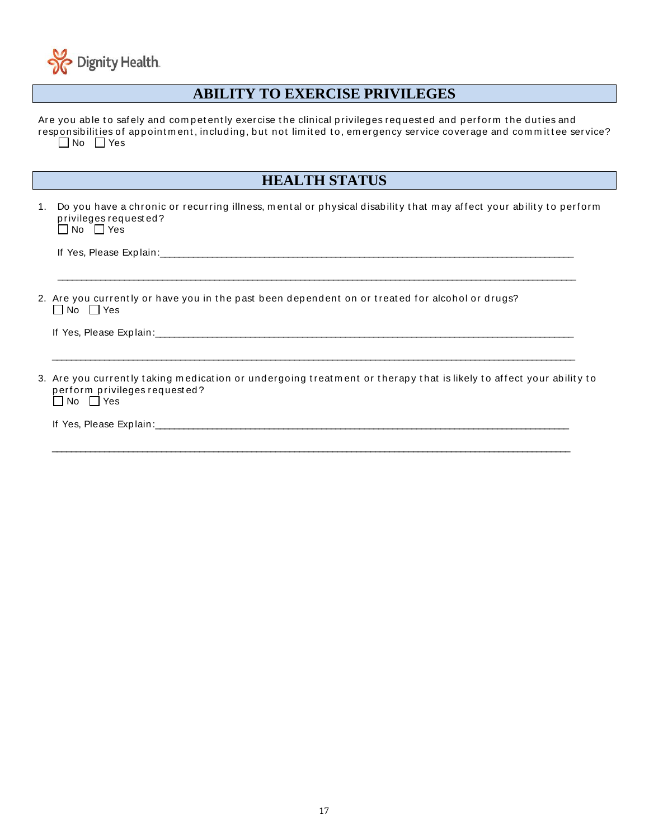

### $\overline{a}$ **ABILITY TO EXERCISE PRIVILEGES**

Are you able to safely and competently exercise the clinical privileges requested and perform the duties and responsibilities of appointment, including, but not limited to, emergency service coverage and committee service?  $\Box$  No  $\Box$  Yes

### **HEALTH STATUS**

1. Do you have a chronic or recurring illness, mental or physical disability that may affect your ability to perform p rivileges req uest ed ?  $\Box$  No  $\Box$  Yes

 $\mathcal{L}_\text{max}$  , and the contribution of the contribution of the contribution of the contribution of the contribution of the contribution of the contribution of the contribution of the contribution of the contribution of t

 $\mathcal{L}_\text{max}$  , and the contribution of the contribution of the contribution of the contribution of the contribution of the contribution of the contribution of the contribution of the contribution of the contribution of t

 $\mathcal{L}_\text{max}$  , and the contribution of the contribution of the contribution of the contribution of the contribution of the contribution of the contribution of the contribution of the contribution of the contribution of t

If Yes, Please Exp lain:\_\_\_\_\_\_\_\_\_\_\_\_\_\_\_\_\_\_\_\_\_\_\_\_\_\_\_\_\_\_\_\_\_\_\_\_\_\_\_\_\_\_\_\_\_\_\_\_\_\_\_\_\_\_\_\_\_\_\_\_\_\_\_\_\_\_\_\_\_\_\_\_\_\_\_\_\_\_\_\_\_\_\_\_\_\_\_

2. Are you currently or have you in the past been dependent on or treated for alcohol or drugs? No Yes

If Yes, Please Explain:

3. Are you currently taking medication or undergoing treatment or therapy that is likely to affect your ability to perform privileges requested? No Yes

If Yes, Please Exp lain:\_\_\_\_\_\_\_\_\_\_\_\_\_\_\_\_\_\_\_\_\_\_\_\_\_\_\_\_\_\_\_\_\_\_\_\_\_\_\_\_\_\_\_\_\_\_\_\_\_\_\_\_\_\_\_\_\_\_\_\_\_\_\_\_\_\_\_\_\_\_\_\_\_\_\_\_\_\_\_\_\_\_\_\_\_\_\_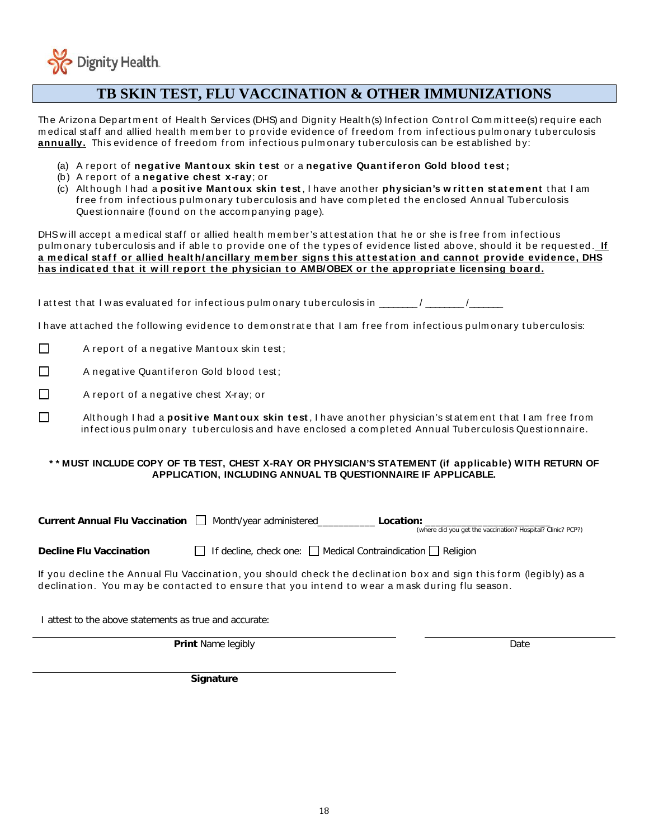

### $\overline{a}$ **TB SKIN TEST, FLU VACCINATION & OTHER IMMUNIZATIONS**

The Arizona Department of Health Services (DHS) and Dignity Health(s) Infection Control Committee(s) require each medical staff and allied health member to provide evidence of freedom from infectious pulmonary tuberculosis annually. This evidence of freedom from infectious pulmonary tuberculosis can be established by:

- (a) A report of **negative Mantoux skin test** or a **negative Quantiferon Gold blood test**;
- (b ) A report of a **negat ive chest x-ray**; or
- (c) Alt hough I had a **posit ive Mant oux skin t est** , I have anot her **physician's w rit t en st at em ent** t hat I am free from infectious pulmonary tuberculosis and have completed the enclosed Annual Tuberculosis Questionnaire (found on the accompanying page).

DHS will accept a medical staff or allied health member's attestation that he or she is free from infectious pulm onary tuberculosis and if able to provide one of the types of evidence listed above, should it be requested. If **a m edical st af f or allied healt h/ancillary m em ber signs t his at t est at ion and cannot provide evidence, DHS**  has indicated that it will report the physician to AMB/OBEX or the appropriate licensing board.

I attest that I was evaluated for infectious pulm onary tuberculosis in  $\frac{1}{\sqrt{1-\frac{1}{2}}\sqrt{1-\frac{1}{2}}\sqrt{1-\frac{1}{2}}\sqrt{1-\frac{1}{2}}\sqrt{1-\frac{1}{2}}$ 

I have attached the following evidence to demonstrate that I am free from infectious pulmonary tuberculosis:

 $\Box$  A report of a negative Mantoux skin test;

 $\Box$  A negative Quantiferon Gold blood test;

П A rep ort of a negat ive chest X-ray; or

Although I had a **positive Mantoux skin test**, I have another physician's statement that I am free from inf ect ious p ulm onary t ub erculosis and have enclosed a com p let ed Annual Tub erculosis Quest ionnaire.

### **\* \* MUST INCLUDE COPY OF TB TEST, CHEST X-RAY OR PHYSICIAN'S STATEMENT (if applicable) WITH RETURN OF APPLICATION, INCLUDING ANNUAL TB QUESTIONNAIRE IF APPLICABLE.**

| <b>Current Annual Flu Vaccination</b> | Month/year administered              | Location:<br>(where did you get the vaccination? Hospital? Clinic? PCP?) |
|---------------------------------------|--------------------------------------|--------------------------------------------------------------------------|
| <b>Decline Flu Vaccination</b>        | $\Box$ If decline, check one: $\Box$ | $\Box$ Medical Contraindication $\Box$ Religion                          |

If you decline the Annual Flu Vaccination, you should check the declination box and sign this form (legibly) as a declination. You may be contacted to ensure that you intend to wear a mask during flu season.

I attest to the above statements as true and accurate:

**Print** Name legibly Date

**Signature**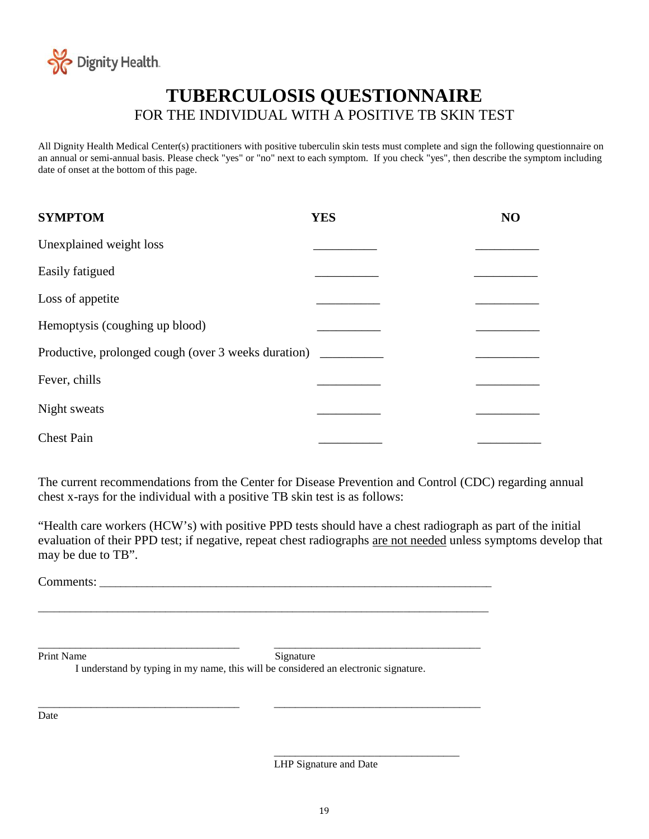

## **TUBERCULOSIS QUESTIONNAIRE** FOR THE INDIVIDUAL WITH A POSITIVE TB SKIN TEST

All Dignity Health Medical Center(s) practitioners with positive tuberculin skin tests must complete and sign the following questionnaire on an annual or semi-annual basis. Please check "yes" or "no" next to each symptom. If you check "yes", then describe the symptom including date of onset at the bottom of this page.

| <b>SYMPTOM</b>                                      | <b>YES</b> | NO |
|-----------------------------------------------------|------------|----|
| Unexplained weight loss                             |            |    |
| Easily fatigued                                     |            |    |
| Loss of appetite                                    |            |    |
| Hemoptysis (coughing up blood)                      |            |    |
| Productive, prolonged cough (over 3 weeks duration) |            |    |
| Fever, chills                                       |            |    |
| Night sweats                                        |            |    |
| <b>Chest Pain</b>                                   |            |    |

The current recommendations from the Center for Disease Prevention and Control (CDC) regarding annual chest x-rays for the individual with a positive TB skin test is as follows:

"Health care workers (HCW's) with positive PPD tests should have a chest radiograph as part of the initial evaluation of their PPD test; if negative, repeat chest radiographs are not needed unless symptoms develop that may be due to TB".

Comments: \_\_\_\_\_\_\_\_\_\_\_\_\_\_\_\_\_\_\_\_\_\_\_\_\_\_\_\_\_\_\_\_\_\_\_\_\_\_\_\_\_\_\_\_\_\_\_\_\_\_\_\_\_\_\_\_\_\_\_\_\_\_\_\_\_\_\_\_\_\_\_\_\_\_

\_\_\_\_\_\_\_\_\_\_\_\_\_\_\_\_\_\_\_\_\_\_\_\_\_\_\_\_\_\_\_\_\_\_\_\_\_\_ \_\_\_\_\_\_\_\_\_\_\_\_\_\_\_\_\_\_\_\_\_\_\_\_\_\_\_\_\_\_\_\_\_\_\_\_\_\_\_ Print Name Signature

I understand by typing in my name, this will be considered an electronic signature.

 $\frac{1}{2}$  , and the set of the set of the set of the set of the set of the set of the set of the set of the set of the set of the set of the set of the set of the set of the set of the set of the set of the set of the set

\_\_\_\_\_\_\_\_\_\_\_\_\_\_\_\_\_\_\_\_\_\_\_\_\_\_\_\_\_\_\_\_\_\_\_\_\_\_ \_\_\_\_\_\_\_\_\_\_\_\_\_\_\_\_\_\_\_\_\_\_\_\_\_\_\_\_\_\_\_\_\_\_\_\_\_\_\_

\_\_\_\_\_\_\_\_\_\_\_\_\_\_\_\_\_\_\_\_\_\_\_\_\_\_\_\_\_\_\_\_\_\_\_\_\_\_\_\_\_\_\_\_\_\_\_\_\_\_\_\_\_\_\_\_\_\_\_\_\_\_\_\_\_\_\_\_\_\_\_\_\_\_\_\_\_\_\_\_\_\_\_\_\_

Date

LHP Signature and Date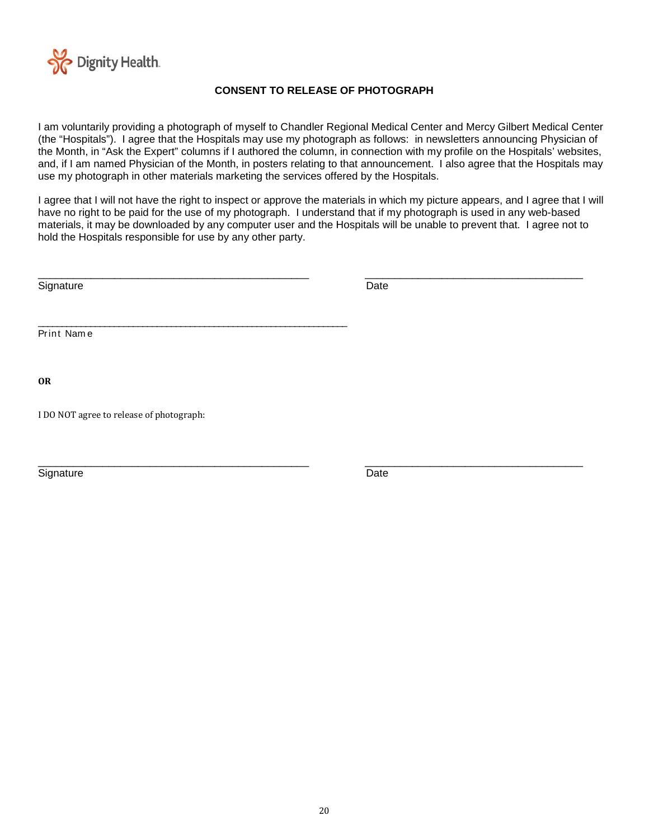

### **CONSENT TO RELEASE OF PHOTOGRAPH**

I am voluntarily providing a photograph of myself to Chandler Regional Medical Center and Mercy Gilbert Medical Center (the "Hospitals"). I agree that the Hospitals may use my photograph as follows: in newsletters announcing Physician of the Month, in "Ask the Expert" columns if I authored the column, in connection with my profile on the Hospitals' websites, and, if I am named Physician of the Month, in posters relating to that announcement. I also agree that the Hospitals may use my photograph in other materials marketing the services offered by the Hospitals.

I agree that I will not have the right to inspect or approve the materials in which my picture appears, and I agree that I will have no right to be paid for the use of my photograph. I understand that if my photograph is used in any web-based materials, it may be downloaded by any computer user and the Hospitals will be unable to prevent that. I agree not to hold the Hospitals responsible for use by any other party.

| Signature                                | Date |  |
|------------------------------------------|------|--|
| Print Name                               |      |  |
| <b>OR</b>                                |      |  |
| I DO NOT agree to release of photograph: |      |  |
|                                          |      |  |

Signature Date **Date**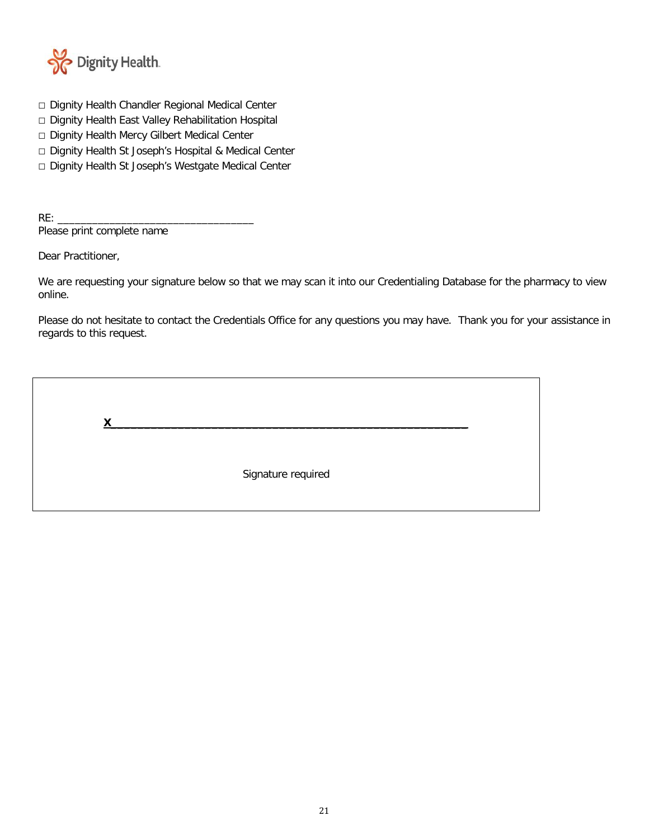

- □ Dignity Health Chandler Regional Medical Center
- □ Dignity Health East Valley Rehabilitation Hospital
- □ Dignity Health Mercy Gilbert Medical Center
- □ Dignity Health St Joseph's Hospital & Medical Center
- □ Dignity Health St Joseph's Westgate Medical Center

 $RE:$ Please print complete name

Dear Practitioner,

We are requesting your signature below so that we may scan it into our Credentialing Database for the pharmacy to view online.

Please do not hesitate to contact the Credentials Office for any questions you may have. Thank you for your assistance in regards to this request.

| $\checkmark$ |                    |  |
|--------------|--------------------|--|
|              | Signature required |  |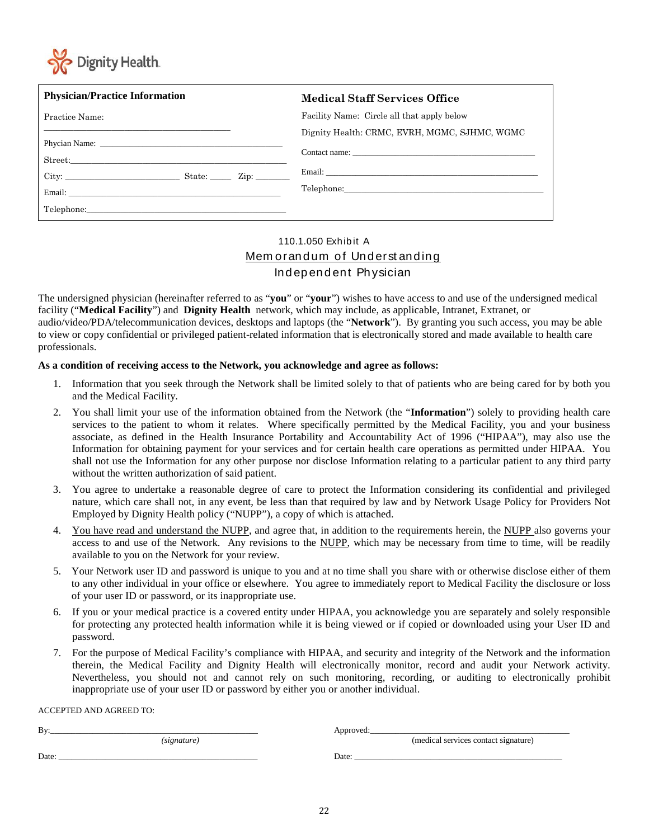

| <b>Physician/Practice Information</b> | Medical Staff Services Office                 |
|---------------------------------------|-----------------------------------------------|
| Practice Name:                        | Facility Name: Circle all that apply below    |
|                                       | Dignity Health: CRMC, EVRH, MGMC, SJHMC, WGMC |
|                                       |                                               |
|                                       |                                               |
|                                       |                                               |
| Telephone: Telephone:                 |                                               |

### 110.1.050 Exhib it A Memorandum of Understanding Ind ep end ent Physician

The undersigned physician (hereinafter referred to as "**you**" or "**your**") wishes to have access to and use of the undersigned medical facility ("**Medical Facility**") and **Dignity Health** network, which may include, as applicable, Intranet, Extranet, or audio/video/PDA/telecommunication devices, desktops and laptops (the "**Network**"). By granting you such access, you may be able to view or copy confidential or privileged patient-related information that is electronically stored and made available to health care professionals.

### **As a condition of receiving access to the Network, you acknowledge and agree as follows:**

- 1. Information that you seek through the Network shall be limited solely to that of patients who are being cared for by both you and the Medical Facility.
- 2. You shall limit your use of the information obtained from the Network (the "**Information**") solely to providing health care services to the patient to whom it relates. Where specifically permitted by the Medical Facility, you and your business associate, as defined in the Health Insurance Portability and Accountability Act of 1996 ("HIPAA"), may also use the Information for obtaining payment for your services and for certain health care operations as permitted under HIPAA. You shall not use the Information for any other purpose nor disclose Information relating to a particular patient to any third party without the written authorization of said patient.
- 3. You agree to undertake a reasonable degree of care to protect the Information considering its confidential and privileged nature, which care shall not, in any event, be less than that required by law and by Network Usage Policy for Providers Not Employed by Dignity Health policy ("NUPP"), a copy of which is attached.
- 4. You have read and understand the NUPP, and agree that, in addition to the requirements herein, the NUPP also governs your access to and use of the Network. Any revisions to the NUPP, which may be necessary from time to time, will be readily available to you on the Network for your review.
- 5. Your Network user ID and password is unique to you and at no time shall you share with or otherwise disclose either of them to any other individual in your office or elsewhere. You agree to immediately report to Medical Facility the disclosure or loss of your user ID or password, or its inappropriate use.
- 6. If you or your medical practice is a covered entity under HIPAA, you acknowledge you are separately and solely responsible for protecting any protected health information while it is being viewed or if copied or downloaded using your User ID and password.
- 7. For the purpose of Medical Facility's compliance with HIPAA, and security and integrity of the Network and the information therein, the Medical Facility and Dignity Health will electronically monitor, record and audit your Network activity. Nevertheless, you should not and cannot rely on such monitoring, recording, or auditing to electronically prohibit inappropriate use of your user ID or password by either you or another individual.

ACCEPTED AND AGREED TO:

| Bv:   |             | Approved: |                                      |  |
|-------|-------------|-----------|--------------------------------------|--|
|       | (signature) |           | (medical services contact signature) |  |
| Date: |             | Date:     |                                      |  |
|       |             |           |                                      |  |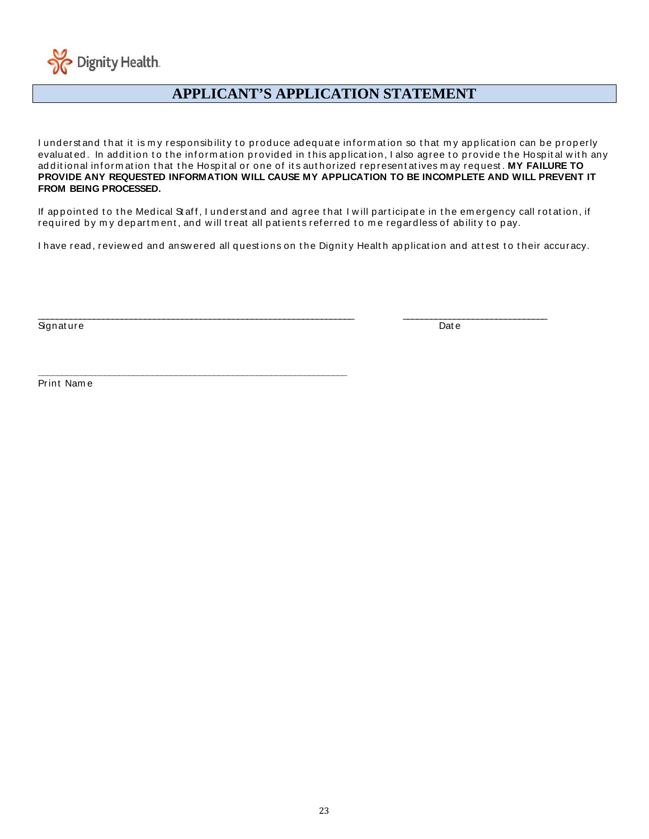

### $\overline{a}$ **APPLICANT'S APPLICATION STATEMENT**

I underst and that it is my responsibility to produce adequate information so that my application can be properly evaluated. In addition to the information provided in this application, I also agree to provide the Hospital with any additional information that the Hospital or one of its authorized representatives may request. MY FAILURE TO **PROVIDE ANY REQUESTED INFORMATION WILL CAUSE MY APPLICATION TO BE INCOMPLETE AND WILL PREVENT IT FROM BEING PROCESSED.**

If appointed to the Medical Staff, I understand and agree that I will participate in the emergency call rotation, if required by my department, and will treat all patients referred to me regardless of ability to pay.

I have read, review ed and answ ered all questions on the Dignity Health application and attest to their accuracy.

\_\_\_\_\_\_\_\_\_\_\_\_\_\_\_\_\_\_\_\_\_\_\_\_\_\_\_\_\_\_\_\_\_\_\_\_\_\_\_\_\_\_\_\_\_\_\_\_\_\_\_\_\_\_\_\_\_\_\_\_\_\_\_\_\_\_\_\_ \_\_\_\_\_\_\_\_\_\_\_\_\_\_\_\_\_\_\_\_\_\_\_\_\_\_\_\_\_\_\_

**\_\_\_\_\_\_\_\_\_\_\_\_\_\_\_\_\_\_\_\_\_\_\_\_\_\_\_\_\_\_\_\_\_\_\_\_\_\_\_\_\_\_\_\_\_\_\_\_\_\_\_\_\_\_\_\_\_\_\_\_\_\_\_\_\_**

Signature Date Date of the Date of the Date of the Date of the Date of the Date of the Date of the Date of the

Print Nam e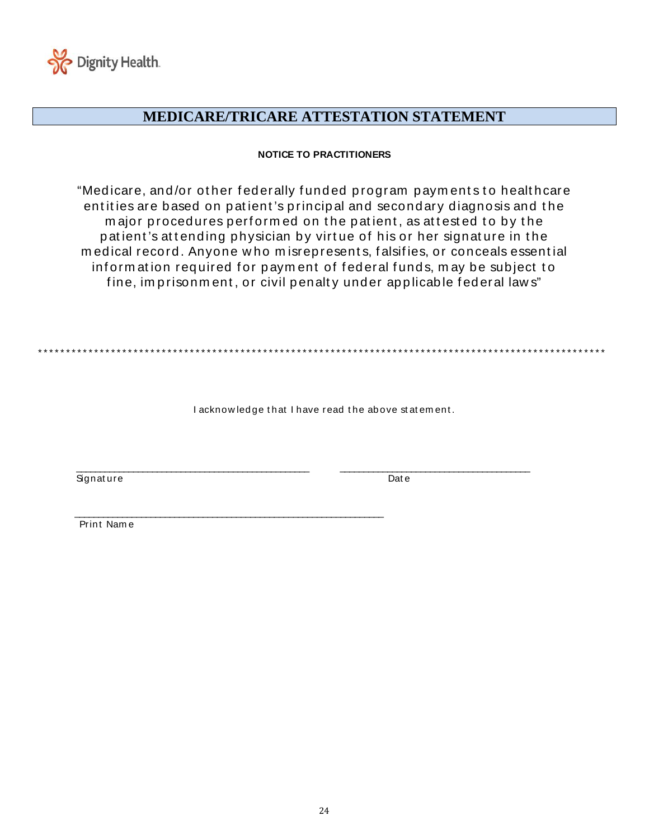

## **MEDICARE/TRICARE ATTESTATION STATEMENT**

### **NOTICE TO PRACTITIONERS**

"Medicare, and/or other federally funded program payments to healthcare entities are based on patient's principal and secondary diagnosis and the major procedures performed on the patient, as attested to by the patient's attending physician by virtue of his or her signature in the m ed ical record . Anyone w ho m isrep resent s, f alsif ies, or conceals essent ial inform ation required for payment of federal funds, may be subject to fine, imprisonment, or civil penalty under applicable federal laws"

\*\*\*\*\*\*\*\*\*\*\*\*\*\*\*\*\*\*\*\*\*\*\*\*\*\*\*\*\*\*\*\*\*\*\*\*\* \*\*\*\*\*\*\*\*\*\*\*\*\*\*\*\*\*\*\*\*\*\*\*\*\*\*\*\*\*\*\*\*\*\*\*\*\*\*\*\*\*\*\*\*\*\*\*\*\*\*\*\*\*\*\*\*\*\*\*\*\*\*\*\*

I acknowledge that I have read the above statement.

\_\_\_\_\_\_\_\_\_\_\_\_\_\_\_\_\_\_\_\_\_\_\_\_\_\_\_\_\_\_\_\_\_\_\_\_\_\_\_\_\_\_\_\_\_\_\_\_\_ \_\_\_\_\_\_\_\_\_\_\_\_\_\_\_\_\_\_\_\_\_\_\_\_\_\_\_\_\_\_\_\_\_\_\_\_\_\_\_\_ Signature Date

 $\mathcal{L}_\mathcal{L}$  , and the contribution of the contribution of the contribution of the contribution of the contribution of the contribution of the contribution of the contribution of the contribution of the contribution of Print Nam e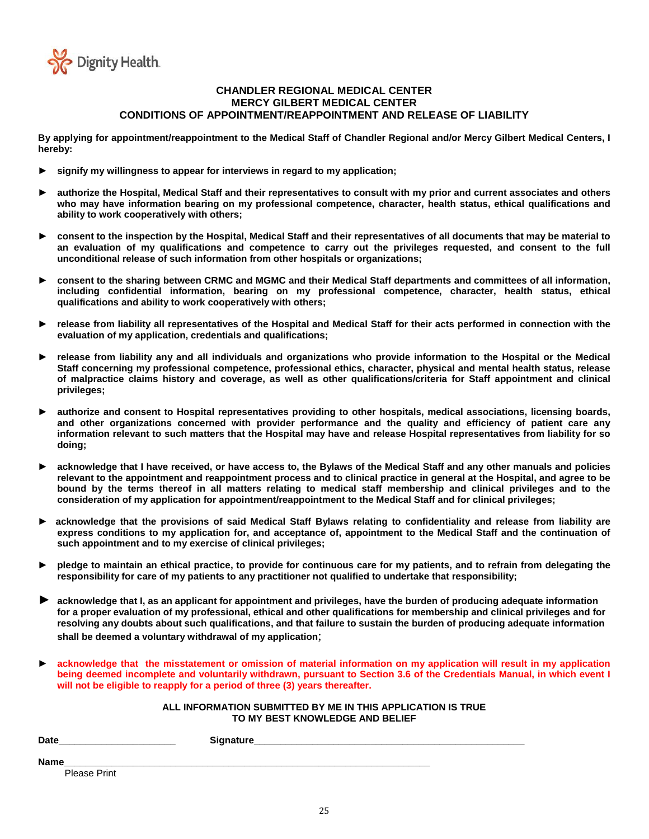

### **CHANDLER REGIONAL MEDICAL CENTER MERCY GILBERT MEDICAL CENTER CONDITIONS OF APPOINTMENT/REAPPOINTMENT AND RELEASE OF LIABILITY**

**By applying for appointment/reappointment to the Medical Staff of Chandler Regional and/or Mercy Gilbert Medical Centers, I hereby:**

- signify my willingness to appear for interviews in regard to my application;
- authorize the Hospital, Medical Staff and their representatives to consult with my prior and current associates and others **who may have information bearing on my professional competence, character, health status, ethical qualifications and ability to work cooperatively with others;**
- ► **consent to the inspection by the Hospital, Medical Staff and their representatives of all documents that may be material to an evaluation of my qualifications and competence to carry out the privileges requested, and consent to the full unconditional release of such information from other hospitals or organizations;**
- consent to the sharing between CRMC and MGMC and their Medical Staff departments and committees of all information, **including confidential information, bearing on my professional competence, character, health status, ethical qualifications and ability to work cooperatively with others;**
- release from liability all representatives of the Hospital and Medical Staff for their acts performed in connection with the **evaluation of my application, credentials and qualifications;**
- release from liability any and all individuals and organizations who provide information to the Hospital or the Medical **Staff concerning my professional competence, professional ethics, character, physical and mental health status, release of malpractice claims history and coverage, as well as other qualifications/criteria for Staff appointment and clinical privileges;**
- authorize and consent to Hospital representatives providing to other hospitals, medical associations, licensing boards, **and other organizations concerned with provider performance and the quality and efficiency of patient care any information relevant to such matters that the Hospital may have and release Hospital representatives from liability for so doing;**
- acknowledge that I have received, or have access to, the Bylaws of the Medical Staff and any other manuals and policies **relevant to the appointment and reappointment process and to clinical practice in general at the Hospital, and agree to be bound by the terms thereof in all matters relating to medical staff membership and clinical privileges and to the consideration of my application for appointment/reappointment to the Medical Staff and for clinical privileges;**
- acknowledge that the provisions of said Medical Staff Bylaws relating to confidentiality and release from liability are **express conditions to my application for, and acceptance of, appointment to the Medical Staff and the continuation of such appointment and to my exercise of clinical privileges;**
- ► **pledge to maintain an ethical practice, to provide for continuous care for my patients, and to refrain from delegating the responsibility for care of my patients to any practitioner not qualified to undertake that responsibility;**
- acknowledge that I, as an applicant for appointment and privileges, have the burden of producing adequate information **for a proper evaluation of my professional, ethical and other qualifications for membership and clinical privileges and for resolving any doubts about such qualifications, and that failure to sustain the burden of producing adequate information shall be deemed a voluntary withdrawal of my application**;
- ► **acknowledge that the misstatement or omission of material information on my application will result in my application being deemed incomplete and voluntarily withdrawn, pursuant to Section 3.6 of the Credentials Manual, in which event I will not be eligible to reapply for a period of three (3) years thereafter.**

#### **ALL INFORMATION SUBMITTED BY ME IN THIS APPLICATION IS TRUE TO MY BEST KNOWLEDGE AND BELIEF**

| <b>Date</b>  | Signature |
|--------------|-----------|
| <b>Name</b>  |           |
| Please Print |           |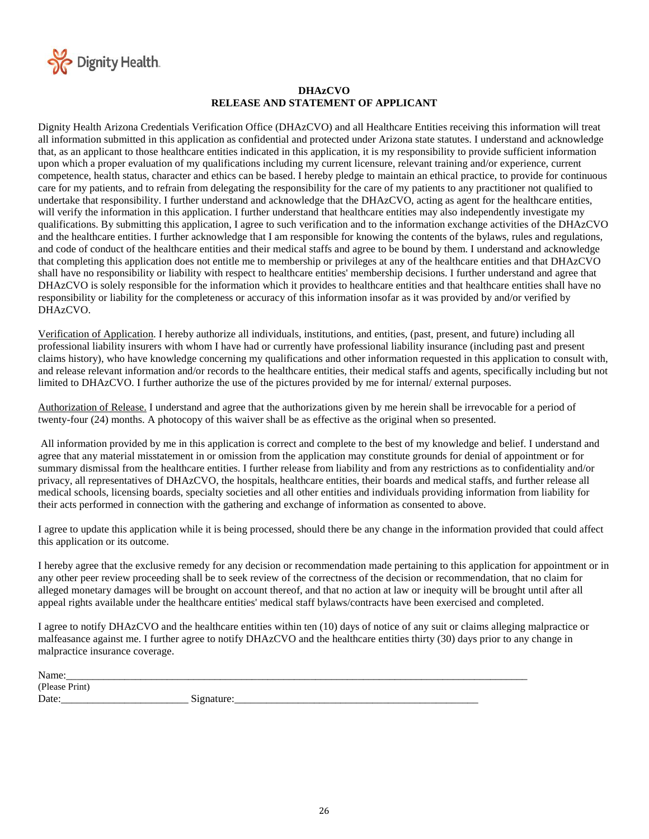

### **DHAzCVO RELEASE AND STATEMENT OF APPLICANT**

Dignity Health Arizona Credentials Verification Office (DHAzCVO) and all Healthcare Entities receiving this information will treat all information submitted in this application as confidential and protected under Arizona state statutes. I understand and acknowledge that, as an applicant to those healthcare entities indicated in this application, it is my responsibility to provide sufficient information upon which a proper evaluation of my qualifications including my current licensure, relevant training and/or experience, current competence, health status, character and ethics can be based. I hereby pledge to maintain an ethical practice, to provide for continuous care for my patients, and to refrain from delegating the responsibility for the care of my patients to any practitioner not qualified to undertake that responsibility. I further understand and acknowledge that the DHAzCVO, acting as agent for the healthcare entities, will verify the information in this application. I further understand that healthcare entities may also independently investigate my qualifications. By submitting this application, I agree to such verification and to the information exchange activities of the DHAzCVO and the healthcare entities. I further acknowledge that I am responsible for knowing the contents of the bylaws, rules and regulations, and code of conduct of the healthcare entities and their medical staffs and agree to be bound by them. I understand and acknowledge that completing this application does not entitle me to membership or privileges at any of the healthcare entities and that DHAzCVO shall have no responsibility or liability with respect to healthcare entities' membership decisions. I further understand and agree that DHAzCVO is solely responsible for the information which it provides to healthcare entities and that healthcare entities shall have no responsibility or liability for the completeness or accuracy of this information insofar as it was provided by and/or verified by DHAzCVO.

Verification of Application. I hereby authorize all individuals, institutions, and entities, (past, present, and future) including all professional liability insurers with whom I have had or currently have professional liability insurance (including past and present claims history), who have knowledge concerning my qualifications and other information requested in this application to consult with, and release relevant information and/or records to the healthcare entities, their medical staffs and agents, specifically including but not limited to DHAzCVO. I further authorize the use of the pictures provided by me for internal/ external purposes.

Authorization of Release. I understand and agree that the authorizations given by me herein shall be irrevocable for a period of twenty-four (24) months. A photocopy of this waiver shall be as effective as the original when so presented.

All information provided by me in this application is correct and complete to the best of my knowledge and belief. I understand and agree that any material misstatement in or omission from the application may constitute grounds for denial of appointment or for summary dismissal from the healthcare entities. I further release from liability and from any restrictions as to confidentiality and/or privacy, all representatives of DHAzCVO, the hospitals, healthcare entities, their boards and medical staffs, and further release all medical schools, licensing boards, specialty societies and all other entities and individuals providing information from liability for their acts performed in connection with the gathering and exchange of information as consented to above.

I agree to update this application while it is being processed, should there be any change in the information provided that could affect this application or its outcome.

I hereby agree that the exclusive remedy for any decision or recommendation made pertaining to this application for appointment or in any other peer review proceeding shall be to seek review of the correctness of the decision or recommendation, that no claim for alleged monetary damages will be brought on account thereof, and that no action at law or inequity will be brought until after all appeal rights available under the healthcare entities' medical staff bylaws/contracts have been exercised and completed.

I agree to notify DHAzCVO and the healthcare entities within ten (10) days of notice of any suit or claims alleging malpractice or malfeasance against me. I further agree to notify DHAzCVO and the healthcare entities thirty (30) days prior to any change in malpractice insurance coverage.

| Name<br>ашс<br>________        |                            |
|--------------------------------|----------------------------|
| (D <sub>0.000</sub> )<br>12222 |                            |
| Date                           | $\sim \cdot$<br>1000c<br>c |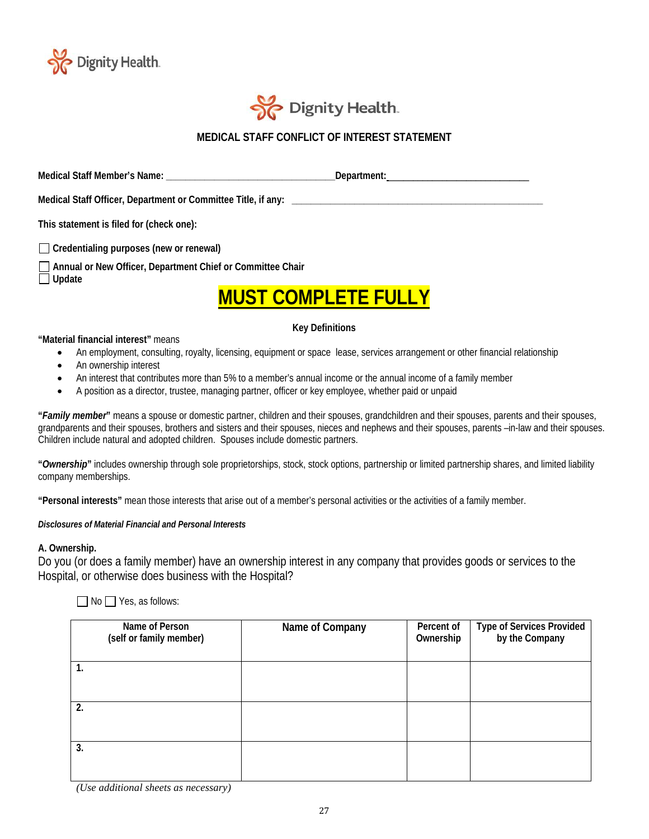



### **MEDICAL STAFF CONFLICT OF INTEREST STATEMENT**

**Medical Staff Member's Name: \_\_\_\_\_\_\_\_\_\_\_\_\_\_\_\_\_\_\_\_\_\_\_\_\_\_\_\_\_\_\_\_\_\_\_Department:** \_\_\_\_\_\_\_\_\_\_\_\_\_\_\_\_\_\_\_\_\_\_\_\_\_\_\_\_\_

Medical Staff Officer, Department or Committee Title, if any:

**This statement is filed for (check one):**

**Credentialing purposes (new or renewal)**

**Annual or New Officer, Department Chief or Committee Chair** 

**Update** 

# **MUST COMPLETE FULLY**

### **Key Definitions**

### **"Material financial interest"** means

- An employment, consulting, royalty, licensing, equipment or space lease, services arrangement or other financial relationship
- An ownership interest
- An interest that contributes more than 5% to a member's annual income or the annual income of a family member
- A position as a director, trustee, managing partner, officer or key employee, whether paid or unpaid

**"***Family member***"** means a spouse or domestic partner, children and their spouses, grandchildren and their spouses, parents and their spouses, grandparents and their spouses, brothers and sisters and their spouses, nieces and nephews and their spouses, parents –in-law and their spouses. Children include natural and adopted children. Spouses include domestic partners.

**"***Ownership***"** includes ownership through sole proprietorships, stock, stock options, partnership or limited partnership shares, and limited liability company memberships.

**"Personal interests"** mean those interests that arise out of a member's personal activities or the activities of a family member.

### *Disclosures of Material Financial and Personal Interests*

### **A. Ownership.**

Do you (or does a family member) have an ownership interest in any company that provides goods or services to the Hospital, or otherwise does business with the Hospital?

 $\Box$  No  $\Box$  Yes, as follows:

| Name of Person<br>(self or family member) | Name of Company | Percent of<br>Ownership | Type of Services Provided<br>by the Company |
|-------------------------------------------|-----------------|-------------------------|---------------------------------------------|
| 1.                                        |                 |                         |                                             |
| 2.                                        |                 |                         |                                             |
| 3.                                        |                 |                         |                                             |

*(Use additional sheets as necessary)*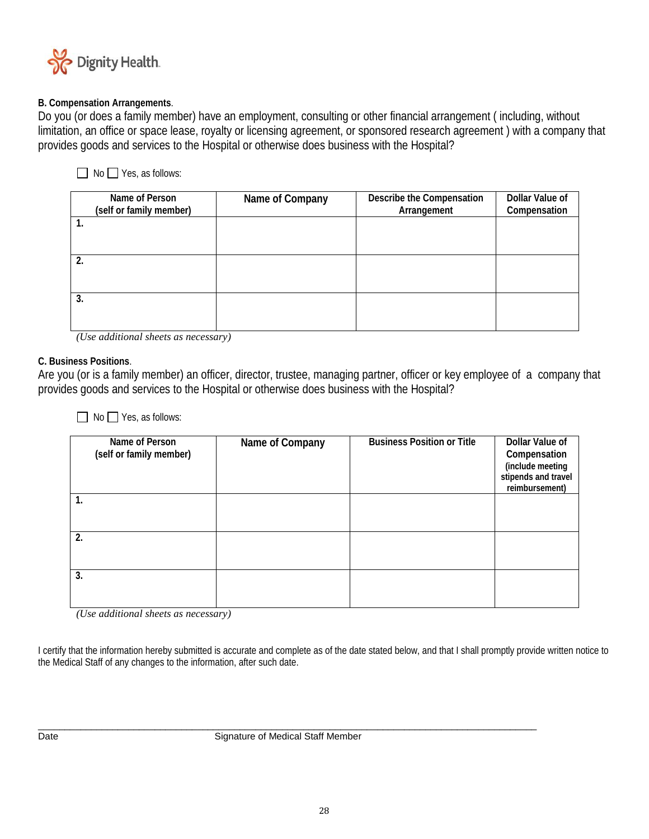

### **B. Compensation Arrangements**.

Do you (or does a family member) have an employment, consulting or other financial arrangement ( including, without limitation, an office or space lease, royalty or licensing agreement, or sponsored research agreement ) with a company that provides goods and services to the Hospital or otherwise does business with the Hospital?

### $\Box$  No  $\Box$  Yes, as follows:

| Name of Person<br>(self or family member) | Name of Company | Describe the Compensation<br>Arrangement | Dollar Value of<br>Compensation |
|-------------------------------------------|-----------------|------------------------------------------|---------------------------------|
|                                           |                 |                                          |                                 |
|                                           |                 |                                          |                                 |
| 2.                                        |                 |                                          |                                 |
|                                           |                 |                                          |                                 |
| 3.                                        |                 |                                          |                                 |
|                                           |                 |                                          |                                 |

*(Use additional sheets as necessary)*

### **C. Business Positions**.

Are you (or is a family member) an officer, director, trustee, managing partner, officer or key employee of a company that provides goods and services to the Hospital or otherwise does business with the Hospital?

No Yes, as follows:

| Name of Person<br>(self or family member) | Name of Company | <b>Business Position or Title</b> | Dollar Value of<br>Compensation<br>(include meeting<br>stipends and travel<br>reimbursement) |
|-------------------------------------------|-----------------|-----------------------------------|----------------------------------------------------------------------------------------------|
| 1.                                        |                 |                                   |                                                                                              |
| 2.                                        |                 |                                   |                                                                                              |
| 3.                                        |                 |                                   |                                                                                              |

*(Use additional sheets as necessary)*

I certify that the information hereby submitted is accurate and complete as of the date stated below, and that I shall promptly provide written notice to the Medical Staff of any changes to the information, after such date.

 $\_$  ,  $\_$  ,  $\_$  ,  $\_$  ,  $\_$  ,  $\_$  ,  $\_$  ,  $\_$  ,  $\_$  ,  $\_$  ,  $\_$  ,  $\_$  ,  $\_$  ,  $\_$  ,  $\_$  ,  $\_$  ,  $\_$  ,  $\_$  ,  $\_$  ,  $\_$  ,  $\_$  ,  $\_$  ,  $\_$  ,  $\_$  ,  $\_$  ,  $\_$  ,  $\_$  ,  $\_$  ,  $\_$  ,  $\_$  ,  $\_$  ,  $\_$  ,  $\_$  ,  $\_$  ,  $\_$  ,  $\_$  ,  $\_$  , Date **Date** Signature of Medical Staff Member